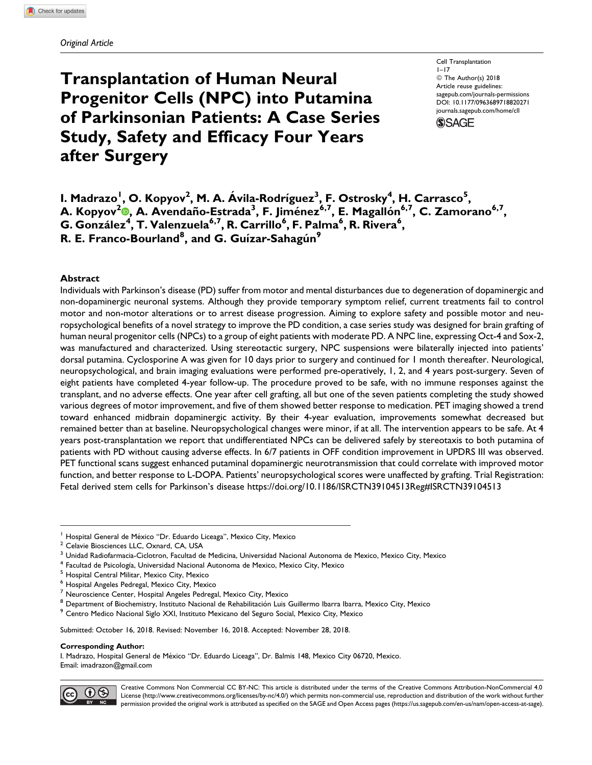# Transplantation of Human Neural Progenitor Cells (NPC) into Putamina of Parkinsonian Patients: A Case Series Study, Safety and Efficacy Four Years after Surgery

Cell Transplantation  $1 - 17$ © The Author(s) 2018 Article reuse guidelines: [sagepub.com/journals-permissions](https://sagepub.com/journals-permissions) [DOI: 10.1177/0963689718820271](https://doi.org/10.1177/0963689718820271) [journals.sagepub.com/home/cll](http://journals.sagepub.com/home/cll) **SSAGE** 

I. Madrazo<sup>I</sup>, O. Kopyov<sup>2</sup>, M. A. Ávila-Rodríguez<sup>3</sup>, F. Ostrosky<sup>4</sup>, H. Carrasco<sup>5</sup>, A. Kopyov<sup>[2](https://orcid.org/0000-0003-0420-138X)</sup>®, A. Avendaño-Estrada<sup>3</sup>, F. Jiménez<sup>6,7</sup>, E. Magallón<sup>6,7</sup>, C. Zamorano<sup>6,7</sup>, G. González<sup>4</sup>, T. Valenzuela<sup>6,7</sup>, R. Carrillo<sup>6</sup>, F. Palma<sup>6</sup>, R. Rivera<sup>6</sup>, R. E. Franco-Bourland $^{\rm 8}$ , and G. Guízar-Sahagún $^{\rm 9}$ 

## Abstract

Individuals with Parkinson's disease (PD) suffer from motor and mental disturbances due to degeneration of dopaminergic and non-dopaminergic neuronal systems. Although they provide temporary symptom relief, current treatments fail to control motor and non-motor alterations or to arrest disease progression. Aiming to explore safety and possible motor and neuropsychological benefits of a novel strategy to improve the PD condition, a case series study was designed for brain grafting of human neural progenitor cells (NPCs) to a group of eight patients with moderate PD. A NPC line, expressing Oct-4 and Sox-2, was manufactured and characterized. Using stereotactic surgery, NPC suspensions were bilaterally injected into patients' dorsal putamina. Cyclosporine A was given for 10 days prior to surgery and continued for 1 month thereafter. Neurological, neuropsychological, and brain imaging evaluations were performed pre-operatively, 1, 2, and 4 years post-surgery. Seven of eight patients have completed 4-year follow-up. The procedure proved to be safe, with no immune responses against the transplant, and no adverse effects. One year after cell grafting, all but one of the seven patients completing the study showed various degrees of motor improvement, and five of them showed better response to medication. PET imaging showed a trend toward enhanced midbrain dopaminergic activity. By their 4-year evaluation, improvements somewhat decreased but remained better than at baseline. Neuropsychological changes were minor, if at all. The intervention appears to be safe. At 4 years post-transplantation we report that undifferentiated NPCs can be delivered safely by stereotaxis to both putamina of patients with PD without causing adverse effects. In 6/7 patients in OFF condition improvement in UPDRS III was observed. PET functional scans suggest enhanced putaminal dopaminergic neurotransmission that could correlate with improved motor function, and better response to L-DOPA. Patients' neuropsychological scores were unaffected by grafting. Trial Registration: Fetal derived stem cells for Parkinson's disease<https://doi.org/10.1186/ISRCTN39104513Reg#ISRCTN39104513>

Submitted: October 16, 2018. Revised: November 16, 2018. Accepted: November 28, 2018.

#### Corresponding Author:

I. Madrazo, Hospital General de México "Dr. Eduardo Liceaga", Dr. Balmis 148, Mexico City 06720, Mexico. Email: [imadrazon@gmail.com](mailto:imadrazon@gmail.com)



Creative Commons Non Commercial CC BY-NC: This article is distributed under the terms of the Creative Commons Attribution-NonCommercial 4.0 License (http://www.creativecommons.org/licenses/by-nc/4.0/) which permits non-commercial use, reproduction and distribution of the work without further permission provided the original work is attributed as specified on the SAGE and Open Access pages (https://us.sagepub.com/en-us/nam/open-access-at-sage).

<sup>&</sup>lt;sup>1</sup> Hospital General de México "Dr. Eduardo Liceaga", Mexico City, Mexico <sup>2</sup> Celavie Biosciences LLC, Oxnard, CA, USA

<sup>3</sup> Unidad Radiofarmacia-Ciclotron, Facultad de Medicina, Universidad Nacional Autonoma de Mexico, Mexico City, Mexico

<sup>&</sup>lt;sup>4</sup> Facultad de Psicología, Universidad Nacional Autonoma de Mexico, Mexico City, Mexico<br><sup>5</sup> Hospital Central Militar, Mexico City, Mexico

<sup>6</sup> Hospital Angeles Pedregal, Mexico City, Mexico

<sup>7</sup> Neuroscience Center, Hospital Angeles Pedregal, Mexico City, Mexico

<sup>&</sup>lt;sup>8</sup> Department of Biochemistry, Instituto Nacional de Rehabilitación Luis Guillermo Ibarra Ibarra, Mexico City, Mexico<br><sup>9</sup> Centro Medico Nacional Siglo XXI, Instituto Mexicano del Seguro Social, Mexico City, Mexico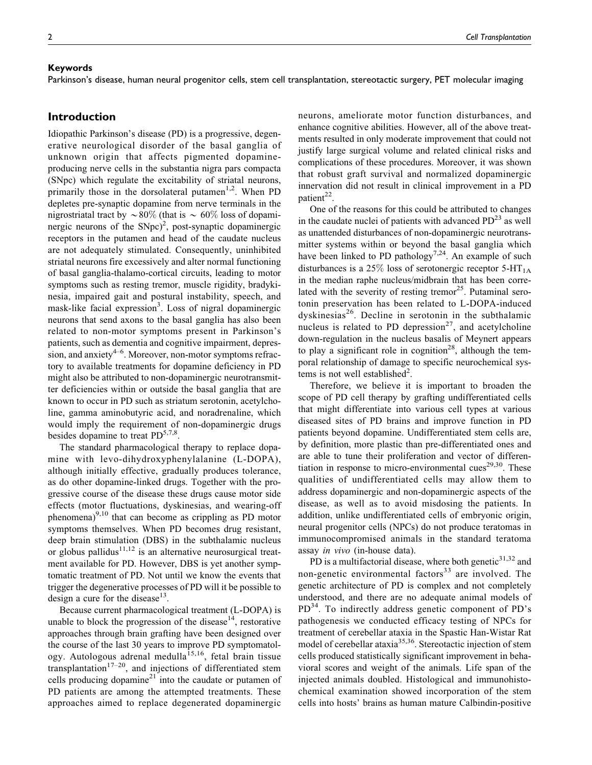Parkinson's disease, human neural progenitor cells, stem cell transplantation, stereotactic surgery, PET molecular imaging

## Introduction

Idiopathic Parkinson's disease (PD) is a progressive, degenerative neurological disorder of the basal ganglia of unknown origin that affects pigmented dopamineproducing nerve cells in the substantia nigra pars compacta (SNpc) which regulate the excitability of striatal neurons, primarily those in the dorsolateral putamen<sup>1,2</sup>. When PD depletes pre-synaptic dopamine from nerve terminals in the nigrostriatal tract by  $\sim 80\%$  (that is  $\sim 60\%$  loss of dopaminergic neurons of the  $SNpc)^2$ , post-synaptic dopaminergic receptors in the putamen and head of the caudate nucleus are not adequately stimulated. Consequently, uninhibited striatal neurons fire excessively and alter normal functioning of basal ganglia-thalamo-cortical circuits, leading to motor symptoms such as resting tremor, muscle rigidity, bradykinesia, impaired gait and postural instability, speech, and mask-like facial expression<sup>3</sup>. Loss of nigral dopaminergic neurons that send axons to the basal ganglia has also been related to non-motor symptoms present in Parkinson's patients, such as dementia and cognitive impairment, depression, and anxiety $4-6$ . Moreover, non-motor symptoms refractory to available treatments for dopamine deficiency in PD might also be attributed to non-dopaminergic neurotransmitter deficiencies within or outside the basal ganglia that are known to occur in PD such as striatum serotonin, acetylcholine, gamma aminobutyric acid, and noradrenaline, which would imply the requirement of non-dopaminergic drugs besides dopamine to treat  $PD^{5,7,8}$ .

The standard pharmacological therapy to replace dopamine with levo-dihydroxyphenylalanine (L-DOPA), although initially effective, gradually produces tolerance, as do other dopamine-linked drugs. Together with the progressive course of the disease these drugs cause motor side effects (motor fluctuations, dyskinesias, and wearing-off phenomena) $9,10$  that can become as crippling as PD motor symptoms themselves. When PD becomes drug resistant, deep brain stimulation (DBS) in the subthalamic nucleus or globus pallidus $11,12$  is an alternative neurosurgical treatment available for PD. However, DBS is yet another symptomatic treatment of PD. Not until we know the events that trigger the degenerative processes of PD will it be possible to design a cure for the disease  $13$ .

Because current pharmacological treatment (L-DOPA) is unable to block the progression of the disease $14$ , restorative approaches through brain grafting have been designed over the course of the last 30 years to improve PD symptomatology. Autologous adrenal medulla<sup>15,16</sup>, fetal brain tissue transplantation<sup>17–20</sup>, and injections of differentiated stem cells producing dopamine $^{21}$  into the caudate or putamen of PD patients are among the attempted treatments. These approaches aimed to replace degenerated dopaminergic

neurons, ameliorate motor function disturbances, and enhance cognitive abilities. However, all of the above treatments resulted in only moderate improvement that could not justify large surgical volume and related clinical risks and complications of these procedures. Moreover, it was shown that robust graft survival and normalized dopaminergic innervation did not result in clinical improvement in a PD patient<sup>22</sup>.

One of the reasons for this could be attributed to changes in the caudate nuclei of patients with advanced  $PD^{23}$  as well as unattended disturbances of non-dopaminergic neurotransmitter systems within or beyond the basal ganglia which have been linked to PD pathology<sup>7,24</sup>. An example of such disturbances is a 25% loss of serotonergic receptor 5-HT<sub>1A</sub> in the median raphe nucleus/midbrain that has been correlated with the severity of resting tremor $^{25}$ . Putaminal serotonin preservation has been related to L-DOPA-induced dyskinesias<sup>26</sup>. Decline in serotonin in the subthalamic nucleus is related to PD depression<sup>27</sup>, and acetylcholine down-regulation in the nucleus basalis of Meynert appears to play a significant role in cognition<sup>28</sup>, although the temporal relationship of damage to specific neurochemical sys $tems$  is not well established<sup>2</sup>.

Therefore, we believe it is important to broaden the scope of PD cell therapy by grafting undifferentiated cells that might differentiate into various cell types at various diseased sites of PD brains and improve function in PD patients beyond dopamine. Undifferentiated stem cells are, by definition, more plastic than pre-differentiated ones and are able to tune their proliferation and vector of differentiation in response to micro-environmental cues<sup>29,30</sup>. These qualities of undifferentiated cells may allow them to address dopaminergic and non-dopaminergic aspects of the disease, as well as to avoid misdosing the patients. In addition, unlike undifferentiated cells of embryonic origin, neural progenitor cells (NPCs) do not produce teratomas in immunocompromised animals in the standard teratoma assay in vivo (in-house data).

PD is a multifactorial disease, where both genetic $31,32$  and non-genetic environmental factors<sup>33</sup> are involved. The genetic architecture of PD is complex and not completely understood, and there are no adequate animal models of PD<sup>34</sup>. To indirectly address genetic component of PD's pathogenesis we conducted efficacy testing of NPCs for treatment of cerebellar ataxia in the Spastic Han-Wistar Rat model of cerebellar ataxia<sup>35,36</sup>. Stereotactic injection of stem cells produced statistically significant improvement in behavioral scores and weight of the animals. Life span of the injected animals doubled. Histological and immunohistochemical examination showed incorporation of the stem cells into hosts' brains as human mature Calbindin-positive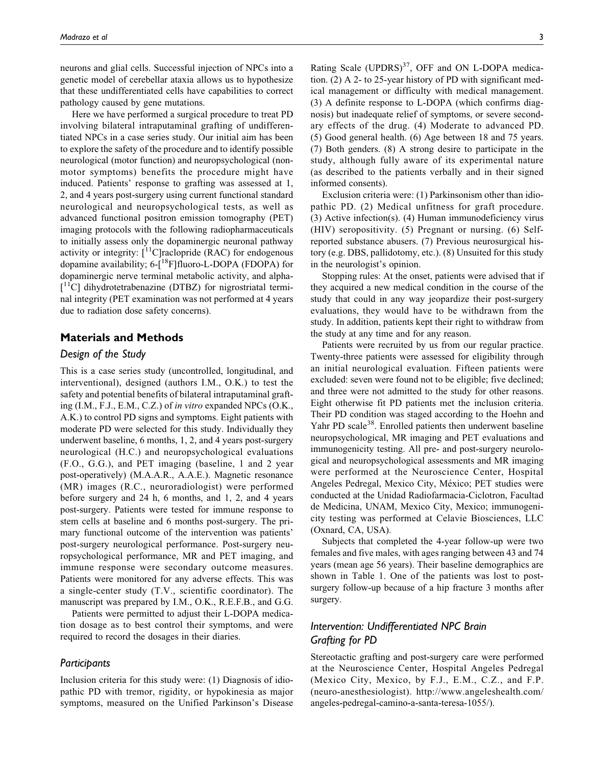neurons and glial cells. Successful injection of NPCs into a genetic model of cerebellar ataxia allows us to hypothesize that these undifferentiated cells have capabilities to correct pathology caused by gene mutations.

Here we have performed a surgical procedure to treat PD involving bilateral intraputaminal grafting of undifferentiated NPCs in a case series study. Our initial aim has been to explore the safety of the procedure and to identify possible neurological (motor function) and neuropsychological (nonmotor symptoms) benefits the procedure might have induced. Patients' response to grafting was assessed at 1, 2, and 4 years post-surgery using current functional standard neurological and neuropsychological tests, as well as advanced functional positron emission tomography (PET) imaging protocols with the following radiopharmaceuticals to initially assess only the dopaminergic neuronal pathway activity or integrity:  $[^{11}C]$ raclopride (RAC) for endogenous dopamine availability;  $6-[18F]$ fluoro-L-DOPA (FDOPA) for dopaminergic nerve terminal metabolic activity, and alpha- [<sup>11</sup>C] dihydrotetrabenazine (DTBZ) for nigrostriatal terminal integrity (PET examination was not performed at 4 years due to radiation dose safety concerns).

## Materials and Methods

## Design of the Study

This is a case series study (uncontrolled, longitudinal, and interventional), designed (authors I.M., O.K.) to test the safety and potential benefits of bilateral intraputaminal grafting (I.M., F.J., E.M., C.Z.) of in vitro expanded NPCs (O.K., A.K.) to control PD signs and symptoms. Eight patients with moderate PD were selected for this study. Individually they underwent baseline, 6 months, 1, 2, and 4 years post-surgery neurological (H.C.) and neuropsychological evaluations (F.O., G.G.), and PET imaging (baseline, 1 and 2 year post-operatively) (M.A.A.R., A.A.E.). Magnetic resonance (MR) images (R.C., neuroradiologist) were performed before surgery and 24 h, 6 months, and 1, 2, and 4 years post-surgery. Patients were tested for immune response to stem cells at baseline and 6 months post-surgery. The primary functional outcome of the intervention was patients' post-surgery neurological performance. Post-surgery neuropsychological performance, MR and PET imaging, and immune response were secondary outcome measures. Patients were monitored for any adverse effects. This was a single-center study (T.V., scientific coordinator). The manuscript was prepared by I.M., O.K., R.E.F.B., and G.G.

Patients were permitted to adjust their L-DOPA medication dosage as to best control their symptoms, and were required to record the dosages in their diaries.

## **Participants**

Inclusion criteria for this study were: (1) Diagnosis of idiopathic PD with tremor, rigidity, or hypokinesia as major symptoms, measured on the Unified Parkinson's Disease

Rating Scale  $(UPDRS)^{37}$ , OFF and ON L-DOPA medication. (2) A 2- to 25-year history of PD with significant medical management or difficulty with medical management. (3) A definite response to L-DOPA (which confirms diagnosis) but inadequate relief of symptoms, or severe secondary effects of the drug. (4) Moderate to advanced PD. (5) Good general health. (6) Age between 18 and 75 years. (7) Both genders. (8) A strong desire to participate in the study, although fully aware of its experimental nature (as described to the patients verbally and in their signed informed consents).

Exclusion criteria were: (1) Parkinsonism other than idiopathic PD. (2) Medical unfitness for graft procedure. (3) Active infection(s). (4) Human immunodeficiency virus (HIV) seropositivity. (5) Pregnant or nursing. (6) Selfreported substance abusers. (7) Previous neurosurgical history (e.g. DBS, pallidotomy, etc.). (8) Unsuited for this study in the neurologist's opinion.

Stopping rules: At the onset, patients were advised that if they acquired a new medical condition in the course of the study that could in any way jeopardize their post-surgery evaluations, they would have to be withdrawn from the study. In addition, patients kept their right to withdraw from the study at any time and for any reason.

Patients were recruited by us from our regular practice. Twenty-three patients were assessed for eligibility through an initial neurological evaluation. Fifteen patients were excluded: seven were found not to be eligible; five declined; and three were not admitted to the study for other reasons. Eight otherwise fit PD patients met the inclusion criteria. Their PD condition was staged according to the Hoehn and Yahr PD scale<sup>38</sup>. Enrolled patients then underwent baseline neuropsychological, MR imaging and PET evaluations and immunogenicity testing. All pre- and post-surgery neurological and neuropsychological assessments and MR imaging were performed at the Neuroscience Center, Hospital Angeles Pedregal, Mexico City, México; PET studies were conducted at the Unidad Radiofarmacia-Ciclotron, Facultad de Medicina, UNAM, Mexico City, Mexico; immunogenicity testing was performed at Celavie Biosciences, LLC (Oxnard, CA, USA).

Subjects that completed the 4-year follow-up were two females and five males, with ages ranging between 43 and 74 years (mean age 56 years). Their baseline demographics are shown in Table 1. One of the patients was lost to postsurgery follow-up because of a hip fracture 3 months after surgery.

# Intervention: Undifferentiated NPC Brain Grafting for PD

Stereotactic grafting and post-surgery care were performed at the Neuroscience Center, Hospital Angeles Pedregal (Mexico City, Mexico, by F.J., E.M., C.Z., and F.P. (neuro-anesthesiologist). [http://www.angeleshealth.com/](http://www.angeleshealth.com/angeles-pedregal-camino-a-santa-teresa-1055/) [angeles-pedregal-camino-a-santa-teresa-1055/](http://www.angeleshealth.com/angeles-pedregal-camino-a-santa-teresa-1055/)).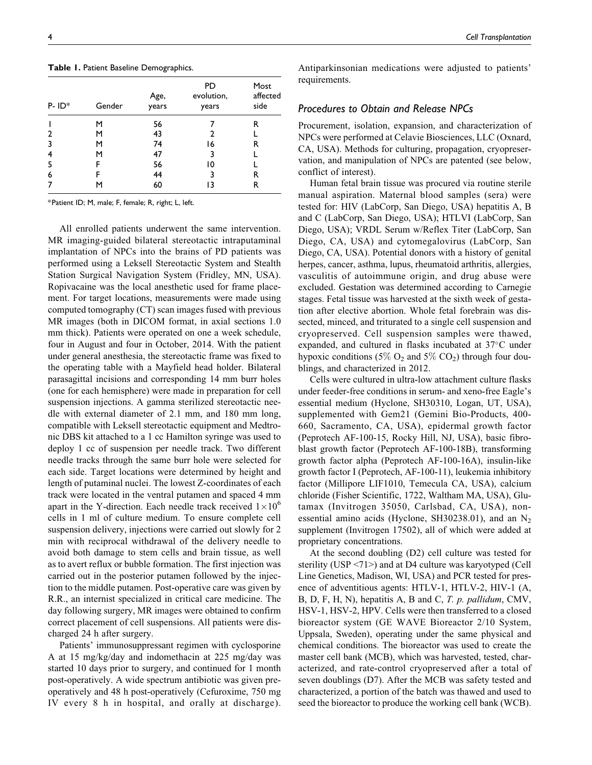| $P - ID^*$ | Gender | Age,<br>years | <b>PD</b><br>evolution,<br>years | Most<br>affected<br>side |
|------------|--------|---------------|----------------------------------|--------------------------|
|            | м      | 56            |                                  | R                        |
| 2          | м      | 43            | 2                                |                          |
| 3          | м      | 74            | 16                               | R                        |
| 4          | м      | 47            | 3                                |                          |
| -5         | F      | 56            | 10                               |                          |
| 6          | F      | 44            | 3                                | R                        |
| 7          | м      | 60            | ۱3                               | R                        |

\*Patient ID; M, male; F, female; R, right; L, left.

All enrolled patients underwent the same intervention. MR imaging-guided bilateral stereotactic intraputaminal implantation of NPCs into the brains of PD patients was performed using a Leksell Stereotactic System and Stealth Station Surgical Navigation System (Fridley, MN, USA). Ropivacaine was the local anesthetic used for frame placement. For target locations, measurements were made using computed tomography (CT) scan images fused with previous MR images (both in DICOM format, in axial sections 1.0 mm thick). Patients were operated on one a week schedule, four in August and four in October, 2014. With the patient under general anesthesia, the stereotactic frame was fixed to the operating table with a Mayfield head holder. Bilateral parasagittal incisions and corresponding 14 mm burr holes (one for each hemisphere) were made in preparation for cell suspension injections. A gamma sterilized stereotactic needle with external diameter of 2.1 mm, and 180 mm long, compatible with Leksell stereotactic equipment and Medtronic DBS kit attached to a 1 cc Hamilton syringe was used to deploy 1 cc of suspension per needle track. Two different needle tracks through the same burr hole were selected for each side. Target locations were determined by height and length of putaminal nuclei. The lowest Z-coordinates of each track were located in the ventral putamen and spaced 4 mm apart in the Y-direction. Each needle track received  $1 \times 10^6$ cells in 1 ml of culture medium. To ensure complete cell suspension delivery, injections were carried out slowly for 2 min with reciprocal withdrawal of the delivery needle to avoid both damage to stem cells and brain tissue, as well as to avert reflux or bubble formation. The first injection was carried out in the posterior putamen followed by the injection to the middle putamen. Post-operative care was given by R.R., an internist specialized in critical care medicine. The day following surgery, MR images were obtained to confirm correct placement of cell suspensions. All patients were discharged 24 h after surgery.

Patients' immunosuppressant regimen with cyclosporine A at 15 mg/kg/day and indomethacin at 225 mg/day was started 10 days prior to surgery, and continued for 1 month post-operatively. A wide spectrum antibiotic was given preoperatively and 48 h post-operatively (Cefuroxime, 750 mg IV every 8 h in hospital, and orally at discharge). Antiparkinsonian medications were adjusted to patients' requirements.

## Procedures to Obtain and Release NPCs

Procurement, isolation, expansion, and characterization of NPCs were performed at Celavie Biosciences, LLC (Oxnard, CA, USA). Methods for culturing, propagation, cryopreservation, and manipulation of NPCs are patented (see below, conflict of interest).

Human fetal brain tissue was procured via routine sterile manual aspiration. Maternal blood samples (sera) were tested for: HIV (LabCorp, San Diego, USA) hepatitis A, B and C (LabCorp, San Diego, USA); HTLVI (LabCorp, San Diego, USA); VRDL Serum w/Reflex Titer (LabCorp, San Diego, CA, USA) and cytomegalovirus (LabCorp, San Diego, CA, USA). Potential donors with a history of genital herpes, cancer, asthma, lupus, rheumatoid arthritis, allergies, vasculitis of autoimmune origin, and drug abuse were excluded. Gestation was determined according to Carnegie stages. Fetal tissue was harvested at the sixth week of gestation after elective abortion. Whole fetal forebrain was dissected, minced, and triturated to a single cell suspension and cryopreserved. Cell suspension samples were thawed, expanded, and cultured in flasks incubated at  $37^{\circ}$ C under hypoxic conditions (5%  $O_2$  and 5%  $CO_2$ ) through four doublings, and characterized in 2012.

Cells were cultured in ultra-low attachment culture flasks under feeder-free conditions in serum- and xeno-free Eagle's essential medium (Hyclone, SH30310, Logan, UT, USA), supplemented with Gem21 (Gemini Bio-Products, 400- 660, Sacramento, CA, USA), epidermal growth factor (Peprotech AF-100-15, Rocky Hill, NJ, USA), basic fibroblast growth factor (Peprotech AF-100-18B), transforming growth factor alpha (Peprotech AF-100-16A), insulin-like growth factor I (Peprotech, AF-100-11), leukemia inhibitory factor (Millipore LIF1010, Temecula CA, USA), calcium chloride (Fisher Scientific, 1722, Waltham MA, USA), Glutamax (Invitrogen 35050, Carlsbad, CA, USA), nonessential amino acids (Hyclone, SH30238.01), and an  $N_2$ supplement (Invitrogen 17502), all of which were added at proprietary concentrations.

At the second doubling (D2) cell culture was tested for sterility (USP <71>) and at D4 culture was karyotyped (Cell Line Genetics, Madison, WI, USA) and PCR tested for presence of adventitious agents: HTLV-1, HTLV-2, HIV-1 (A, B, D, F, H, N), hepatitis A, B and C, T. p. pallidum, CMV, HSV-1, HSV-2, HPV. Cells were then transferred to a closed bioreactor system (GE WAVE Bioreactor 2/10 System, Uppsala, Sweden), operating under the same physical and chemical conditions. The bioreactor was used to create the master cell bank (MCB), which was harvested, tested, characterized, and rate-control cryopreserved after a total of seven doublings (D7). After the MCB was safety tested and characterized, a portion of the batch was thawed and used to seed the bioreactor to produce the working cell bank (WCB).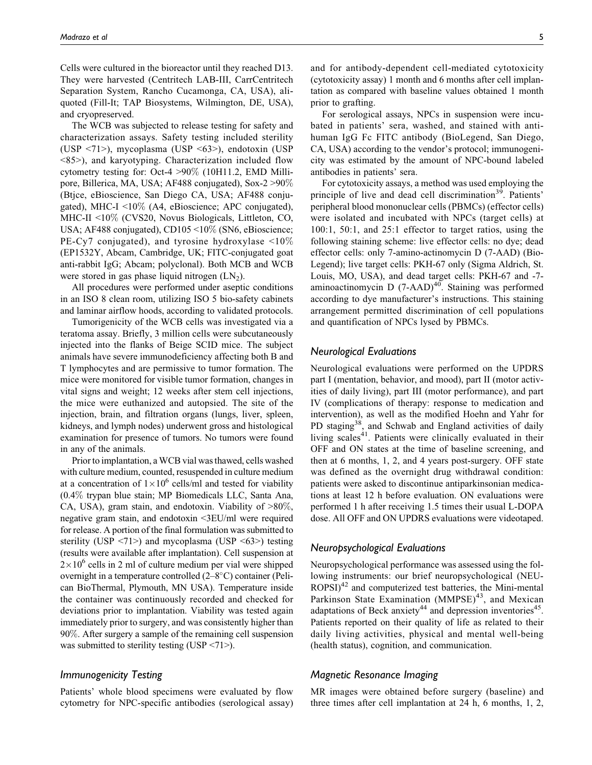Cells were cultured in the bioreactor until they reached D13. They were harvested (Centritech LAB-III, CarrCentritech Separation System, Rancho Cucamonga, CA, USA), aliquoted (Fill-It; TAP Biosystems, Wilmington, DE, USA), and cryopreserved.

The WCB was subjected to release testing for safety and characterization assays. Safety testing included sterility (USP <71>), mycoplasma (USP <63>), endotoxin (USP <85>), and karyotyping. Characterization included flow cytometry testing for: Oct-4 >90% (10H11.2, EMD Millipore, Billerica, MA, USA; AF488 conjugated), Sox-2 >90% (Btjce, eBioscience, San Diego CA, USA; AF488 conjugated), MHC-I  $\leq 10\%$  (A4, eBioscience; APC conjugated), MHC-II <10% (CVS20, Novus Biologicals, Littleton, CO, USA; AF488 conjugated), CD105 <10% (SN6, eBioscience; PE-Cy7 conjugated), and tyrosine hydroxylase  $\leq 10\%$ (EP1532Y, Abcam, Cambridge, UK; FITC-conjugated goat anti-rabbit IgG; Abcam; polyclonal). Both MCB and WCB were stored in gas phase liquid nitrogen  $(LN_2)$ .

All procedures were performed under aseptic conditions in an ISO 8 clean room, utilizing ISO 5 bio-safety cabinets and laminar airflow hoods, according to validated protocols.

Tumorigenicity of the WCB cells was investigated via a teratoma assay. Briefly, 3 million cells were subcutaneously injected into the flanks of Beige SCID mice. The subject animals have severe immunodeficiency affecting both B and T lymphocytes and are permissive to tumor formation. The mice were monitored for visible tumor formation, changes in vital signs and weight; 12 weeks after stem cell injections, the mice were euthanized and autopsied. The site of the injection, brain, and filtration organs (lungs, liver, spleen, kidneys, and lymph nodes) underwent gross and histological examination for presence of tumors. No tumors were found in any of the animals.

Prior to implantation, a WCB vial was thawed, cells washed with culture medium, counted, resuspended in culture medium at a concentration of  $1 \times 10^6$  cells/ml and tested for viability (0.4% trypan blue stain; MP Biomedicals LLC, Santa Ana, CA, USA), gram stain, and endotoxin. Viability of >80%, negative gram stain, and endotoxin <3EU/ml were required for release. A portion of the final formulation was submitted to sterility (USP <71>) and mycoplasma (USP <63>) testing (results were available after implantation). Cell suspension at  $2 \times 10^6$  cells in 2 ml of culture medium per vial were shipped overnight in a temperature controlled  $(2-8^{\circ}C)$  container (Pelican BioThermal, Plymouth, MN USA). Temperature inside the container was continuously recorded and checked for deviations prior to implantation. Viability was tested again immediately prior to surgery, and was consistently higher than 90%. After surgery a sample of the remaining cell suspension was submitted to sterility testing (USP <71>).

## Immunogenicity Testing

Patients' whole blood specimens were evaluated by flow cytometry for NPC-specific antibodies (serological assay)

and for antibody-dependent cell-mediated cytotoxicity (cytotoxicity assay) 1 month and 6 months after cell implantation as compared with baseline values obtained 1 month prior to grafting.

For serological assays, NPCs in suspension were incubated in patients' sera, washed, and stained with antihuman IgG Fc FITC antibody (BioLegend, San Diego, CA, USA) according to the vendor's protocol; immunogenicity was estimated by the amount of NPC-bound labeled antibodies in patients' sera.

For cytotoxicity assays, a method was used employing the principle of live and dead cell discrimination<sup>39</sup>. Patients' peripheral blood mononuclear cells (PBMCs) (effector cells) were isolated and incubated with NPCs (target cells) at 100:1, 50:1, and 25:1 effector to target ratios, using the following staining scheme: live effector cells: no dye; dead effector cells: only 7-amino-actinomycin D (7-AAD) (Bio-Legend); live target cells: PKH-67 only (Sigma Aldrich, St. Louis, MO, USA), and dead target cells: PKH-67 and -7 aminoactinomycin D  $(7-AAD)^{40}$ . Staining was performed according to dye manufacturer's instructions. This staining arrangement permitted discrimination of cell populations and quantification of NPCs lysed by PBMCs.

#### Neurological Evaluations

Neurological evaluations were performed on the UPDRS part I (mentation, behavior, and mood), part II (motor activities of daily living), part III (motor performance), and part IV (complications of therapy: response to medication and intervention), as well as the modified Hoehn and Yahr for PD staging<sup>38</sup>, and Schwab and England activities of daily living scales<sup>41</sup>. Patients were clinically evaluated in their OFF and ON states at the time of baseline screening, and then at 6 months, 1, 2, and 4 years post-surgery. OFF state was defined as the overnight drug withdrawal condition: patients were asked to discontinue antiparkinsonian medications at least 12 h before evaluation. ON evaluations were performed 1 h after receiving 1.5 times their usual L-DOPA dose. All OFF and ON UPDRS evaluations were videotaped.

## Neuropsychological Evaluations

Neuropsychological performance was assessed using the following instruments: our brief neuropsychological (NEU- $ROPSI<sup>42</sup>$  and computerized test batteries, the Mini-mental Parkinson State Examination  $(MMPSE)^{43}$ , and Mexican adaptations of Beck anxiety<sup>44</sup> and depression inventories<sup>45</sup>. Patients reported on their quality of life as related to their daily living activities, physical and mental well-being (health status), cognition, and communication.

## Magnetic Resonance Imaging

MR images were obtained before surgery (baseline) and three times after cell implantation at 24 h, 6 months, 1, 2,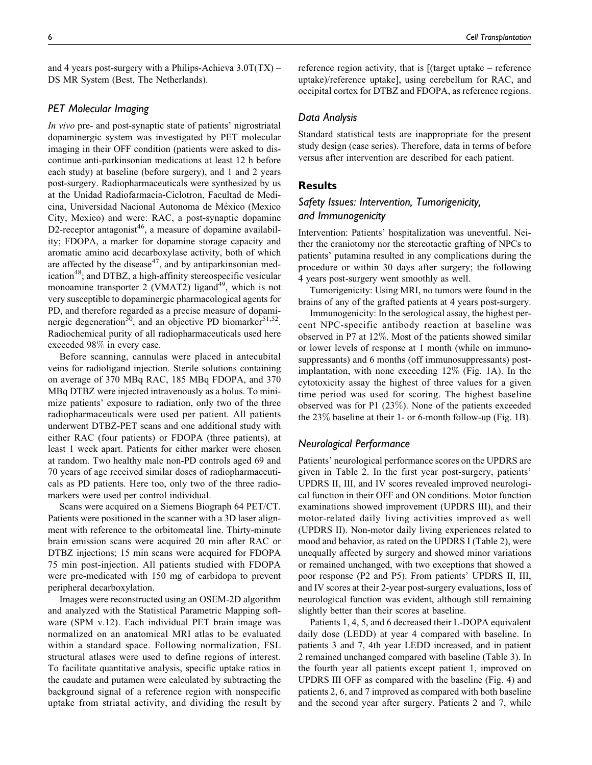and 4 years post-surgery with a Philips-Achieva  $3.0T(TX)$  – DS MR System (Best, The Netherlands).

## PET Molecular Imaging

In vivo pre- and post-synaptic state of patients' nigrostriatal dopaminergic system was investigated by PET molecular imaging in their OFF condition (patients were asked to discontinue anti-parkinsonian medications at least 12 h before each study) at baseline (before surgery), and 1 and 2 years post-surgery. Radiopharmaceuticals were synthesized by us at the Unidad Radiofarmacia-Ciclotron, Facultad de Medicina, Universidad Nacional Autonoma de México (Mexico City, Mexico) and were: RAC, a post-synaptic dopamine D2-receptor antagonist<sup>46</sup>, a measure of dopamine availability; FDOPA, a marker for dopamine storage capacity and aromatic amino acid decarboxylase activity, both of which are affected by the disease $47$ , and by antiparkinsonian medication<sup>48</sup>; and DTBZ, a high-affinity stereospecific vesicular monoamine transporter 2 (VMAT2) ligand<sup>49</sup>, which is not very susceptible to dopaminergic pharmacological agents for PD, and therefore regarded as a precise measure of dopaminergic degeneration<sup>50</sup>, and an objective PD biomarker<sup>51,52</sup>. Radiochemical purity of all radiopharmaceuticals used here exceeded 98% in every case.

Before scanning, cannulas were placed in antecubital veins for radioligand injection. Sterile solutions containing on average of 370 MBq RAC, 185 MBq FDOPA, and 370 MBq DTBZ were injected intravenously as a bolus. To minimize patients' exposure to radiation, only two of the three radiopharmaceuticals were used per patient. All patients underwent DTBZ-PET scans and one additional study with either RAC (four patients) or FDOPA (three patients), at least 1 week apart. Patients for either marker were chosen at random. Two healthy male non-PD controls aged 69 and 70 years of age received similar doses of radiopharmaceuticals as PD patients. Here too, only two of the three radiomarkers were used per control individual.

Scans were acquired on a Siemens Biograph 64 PET/CT. Patients were positioned in the scanner with a 3D laser alignment with reference to the orbitomeatal line. Thirty-minute brain emission scans were acquired 20 min after RAC or DTBZ injections; 15 min scans were acquired for FDOPA 75 min post-injection. All patients studied with FDOPA were pre-medicated with 150 mg of carbidopa to prevent peripheral decarboxylation.

Images were reconstructed using an OSEM-2D algorithm and analyzed with the Statistical Parametric Mapping software (SPM v.12). Each individual PET brain image was normalized on an anatomical MRI atlas to be evaluated within a standard space. Following normalization, FSL structural atlases were used to define regions of interest. To facilitate quantitative analysis, specific uptake ratios in the caudate and putamen were calculated by subtracting the background signal of a reference region with nonspecific uptake from striatal activity, and dividing the result by reference region activity, that is [(target uptake – reference uptake)/reference uptake], using cerebellum for RAC, and occipital cortex for DTBZ and FDOPA, as reference regions.

## Data Analysis

Standard statistical tests are inappropriate for the present study design (case series). Therefore, data in terms of before versus after intervention are described for each patient.

## Results

# Safety Issues: Intervention, Tumorigenicity, and Immunogenicity

Intervention: Patients' hospitalization was uneventful. Neither the craniotomy nor the stereotactic grafting of NPCs to patients' putamina resulted in any complications during the procedure or within 30 days after surgery; the following 4 years post-surgery went smoothly as well.

Tumorigenicity: Using MRI, no tumors were found in the brains of any of the grafted patients at 4 years post-surgery.

Immunogenicity: In the serological assay, the highest percent NPC-specific antibody reaction at baseline was observed in P7 at 12%. Most of the patients showed similar or lower levels of response at 1 month (while on immunosuppressants) and 6 months (off immunosuppressants) postimplantation, with none exceeding 12% (Fig. 1A). In the cytotoxicity assay the highest of three values for a given time period was used for scoring. The highest baseline observed was for P1 (23%). None of the patients exceeded the 23% baseline at their 1- or 6-month follow-up (Fig. 1B).

## Neurological Performance

Patients' neurological performance scores on the UPDRS are given in Table 2. In the first year post-surgery, patients' UPDRS II, III, and IV scores revealed improved neurological function in their OFF and ON conditions. Motor function examinations showed improvement (UPDRS III), and their motor-related daily living activities improved as well (UPDRS II). Non-motor daily living experiences related to mood and behavior, as rated on the UPDRS I (Table 2), were unequally affected by surgery and showed minor variations or remained unchanged, with two exceptions that showed a poor response (P2 and P5). From patients' UPDRS II, III, and IV scores at their 2-year post-surgery evaluations, loss of neurological function was evident, although still remaining slightly better than their scores at baseline.

Patients 1, 4, 5, and 6 decreased their L-DOPA equivalent daily dose (LEDD) at year 4 compared with baseline. In patients 3 and 7, 4th year LEDD increased, and in patient 2 remained unchanged compared with baseline (Table 3). In the fourth year all patients except patient 1, improved on UPDRS III OFF as compared with the baseline (Fig. 4) and patients 2, 6, and 7 improved as compared with both baseline and the second year after surgery. Patients 2 and 7, while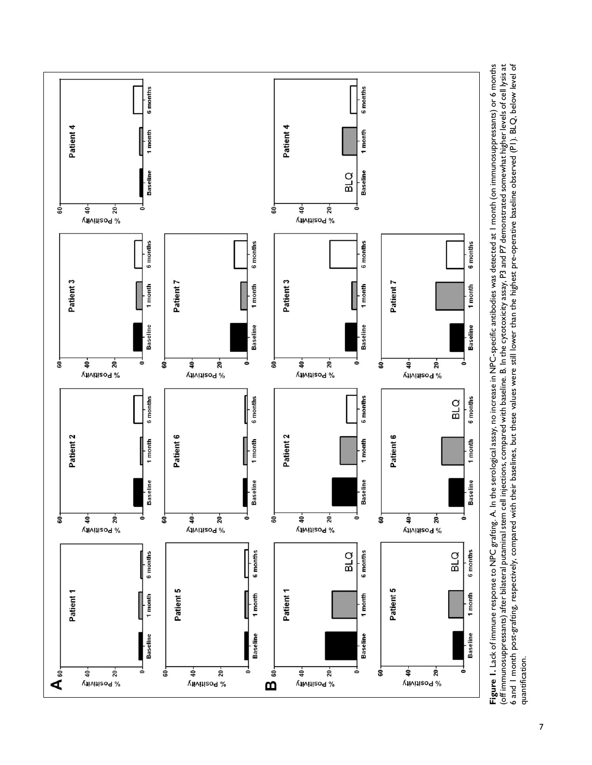

Figure 1. Lack of immune response to NPC grafting. A. In the serological assay, no increase in NPC-specific antibodies was detected at 1 month (on immunosuppressants) or 6 months (off immunosuppressants) after bilateral putaminal stem cell injections, compared with baseline. B. In the cytotoxicity assay, P3 and P7 demonstrated somewhat higher levels of cell lysis at<br>6 and 1 month post-grafting, res (off immunosuppressants) after bilateral putaminal stem cell injections, compared with baseline. B. In the cytotoxicity assay, P3 and P7 demonstrated somewhat higher levels of cell lysis at 6 and 1 month post-grafting, respectively, compared with their baselines, but these values were still lower than the highest pre-operative baseline observed (P1). BLQ, below level of Figure 1. Lack of immune response to NPC grafting. A. In the serological assay, no increase in NPC-specific antibodies was detected at 1 month (on immunosuppressants) or 6 months quantification. quantification.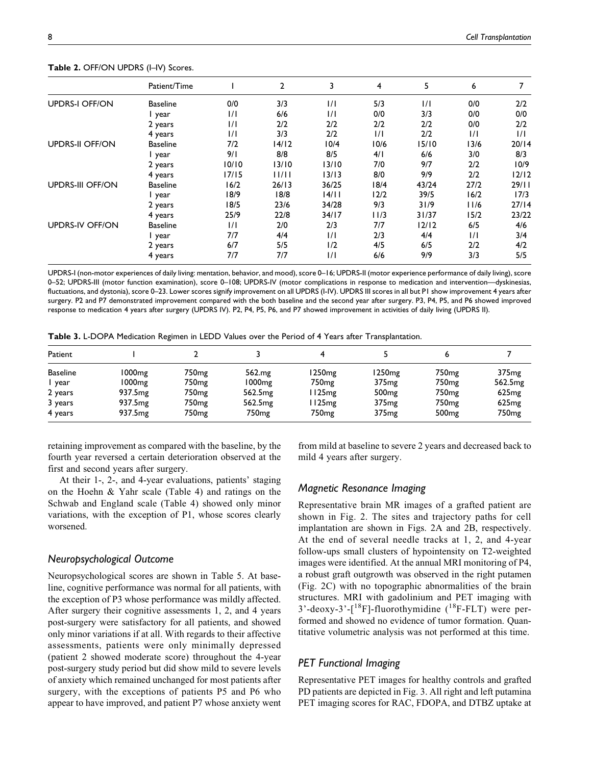|                         | Patient/Time    |               | $\mathbf{2}$ | 3             | 4     | 5       | 6    |         |
|-------------------------|-----------------|---------------|--------------|---------------|-------|---------|------|---------|
| <b>UPDRS-I OFF/ON</b>   | <b>Baseline</b> | 0/0           | 3/3          | 1/1           | 5/3   | 1/1     | 0/0  | 2/2     |
|                         | l year          | $\frac{1}{1}$ | 6/6          | 1/1           | 0/0   | 3/3     | 0/0  | 0/0     |
|                         | 2 years         | 1/1           | 2/2          | 2/2           | 2/2   | 2/2     | 0/0  | 2/2     |
|                         | 4 years         | 1/1           | 3/3          | 2/2           | 1/1   | 2/2     | 1/1  | 1/1     |
| <b>UPDRS-II OFF/ON</b>  | <b>Baseline</b> | 7/2           | 14/12        | 10/4          | 10/6  | 15/10   | 13/6 | 20/14   |
|                         | l year          | 9/1           | 8/8          | 8/5           | 4/1   | 6/6     | 3/0  | 8/3     |
|                         | 2 years         | 10/10         | 13/10        | 13/10         | 7/0   | 9/7     | 2/2  | 10/9    |
|                         | 4 years         | 17/15         | 11/11        | 13/13         | 8/0   | 9/9     | 2/2  | $12/12$ |
| <b>UPDRS-III OFF/ON</b> | <b>Baseline</b> | 16/2          | 26/13        | 36/25         | 18/4  | 43/24   | 27/2 | 29/11   |
|                         | l year          | 18/9          | 18/8         | 14/11         | 12/2  | 39/5    | 16/2 | 17/3    |
|                         | 2 years         | 18/5          | 23/6         | 34/28         | 9/3   | 31/9    | 11/6 | 27/14   |
|                         | 4 years         | 25/9          | 22/8         | 34/17         | l I/3 | 31/37   | 15/2 | 23/22   |
| <b>UPDRS-IV OFF/ON</b>  | <b>Baseline</b> | $\frac{1}{1}$ | 2/0          | 2/3           | 7/7   | $12/12$ | 6/5  | 4/6     |
|                         | l year          | 7/7           | 4/4          | $\frac{1}{1}$ | 2/3   | 4/4     | 1/1  | 3/4     |
|                         | 2 years         | 6/7           | 5/5          | 1/2           | 4/5   | 6/5     | 2/2  | 4/2     |
|                         | 4 years         | 7/7           | 7/7          | $\frac{1}{1}$ | 6/6   | 9/9     | 3/3  | 5/5     |

Table 2. OFF/ON UPDRS (I-IV) Scores.

UPDRS-I (non-motor experiences of daily living: mentation, behavior, and mood), score 0–16; UPDRS-II (motor experience performance of daily living), score 0–52; UPDRS-III (motor function examination), score 0–108; UPDRS-IV (motor complications in response to medication and intervention—dyskinesias, fluctuations, and dystonia), score 0-23. Lower scores signify improvement on all UPDRS (I-IV). UPDRS III scores in all but PI show improvement 4 years after surgery. P2 and P7 demonstrated improvement compared with the both baseline and the second year after surgery. P3, P4, P5, and P6 showed improved response to medication 4 years after surgery (UPDRS IV). P2, P4, P5, P6, and P7 showed improvement in activities of daily living (UPDRS II).

| Patient         |                     |                   |                     |                   |                   |                   |                     |
|-----------------|---------------------|-------------------|---------------------|-------------------|-------------------|-------------------|---------------------|
| <b>Baseline</b> | 1000 <sub>mg</sub>  | 750mg             | 562.mg              | l 250mg           | 1250mg            | 750mg             | 375 <sub>mg</sub>   |
| year            | 1000 <sub>mg</sub>  | 750mg             | 1000 <sub>mg</sub>  | 750 <sub>mg</sub> | 375 <sub>mg</sub> | 750 <sub>mg</sub> | 562.5 <sub>mg</sub> |
| 2 years         | 937.5 <sub>mg</sub> | 750mg             | 562.5 <sub>mg</sub> | 125 <sub>mg</sub> | 500 <sub>mg</sub> | 750 <sub>mg</sub> | 625mg               |
| 3 years         | 937.5 <sub>mg</sub> | 750mg             | 562.5 <sub>mg</sub> | 125 <sub>mg</sub> | 375 <sub>mg</sub> | 750 <sub>mg</sub> | 625mg               |
| 4 years         | 937.5 <sub>mg</sub> | 750 <sub>mg</sub> | 750mg               | 750 <sub>mg</sub> | 375 <sub>mg</sub> | 500 <sub>mg</sub> | 750 <sub>mg</sub>   |

retaining improvement as compared with the baseline, by the fourth year reversed a certain deterioration observed at the first and second years after surgery.

At their 1-, 2-, and 4-year evaluations, patients' staging on the Hoehn & Yahr scale (Table 4) and ratings on the Schwab and England scale (Table 4) showed only minor variations, with the exception of P1, whose scores clearly worsened.

## Neuropsychological Outcome

Neuropsychological scores are shown in Table 5. At baseline, cognitive performance was normal for all patients, with the exception of P3 whose performance was mildly affected. After surgery their cognitive assessments 1, 2, and 4 years post-surgery were satisfactory for all patients, and showed only minor variations if at all. With regards to their affective assessments, patients were only minimally depressed (patient 2 showed moderate score) throughout the 4-year post-surgery study period but did show mild to severe levels of anxiety which remained unchanged for most patients after surgery, with the exceptions of patients P5 and P6 who appear to have improved, and patient P7 whose anxiety went

from mild at baseline to severe 2 years and decreased back to mild 4 years after surgery.

## Magnetic Resonance Imaging

Representative brain MR images of a grafted patient are shown in Fig. 2. The sites and trajectory paths for cell implantation are shown in Figs. 2A and 2B, respectively. At the end of several needle tracks at 1, 2, and 4-year follow-ups small clusters of hypointensity on T2-weighted images were identified. At the annual MRI monitoring of P4, a robust graft outgrowth was observed in the right putamen (Fig. 2C) with no topographic abnormalities of the brain structures. MRI with gadolinium and PET imaging with  $3'-$ deoxy- $3'-$ [<sup>18</sup>F]-fluorothymidine (<sup>18</sup>F-FLT) were performed and showed no evidence of tumor formation. Quantitative volumetric analysis was not performed at this time.

## PET Functional Imaging

Representative PET images for healthy controls and grafted PD patients are depicted in Fig. 3. All right and left putamina PET imaging scores for RAC, FDOPA, and DTBZ uptake at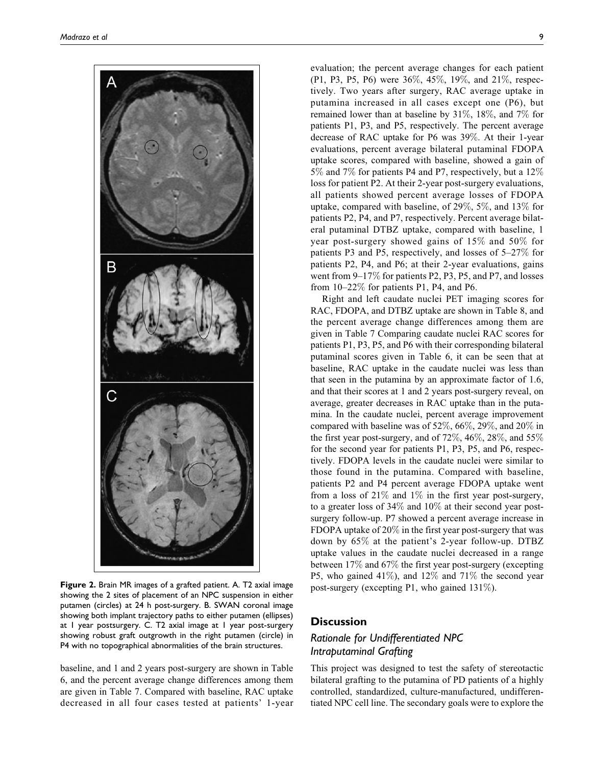

Figure 2. Brain MR images of a grafted patient. A. T2 axial image showing the 2 sites of placement of an NPC suspension in either putamen (circles) at 24 h post-surgery. B. SWAN coronal image showing both implant trajectory paths to either putamen (ellipses) at 1 year postsurgery. C. T2 axial image at 1 year post-surgery showing robust graft outgrowth in the right putamen (circle) in P4 with no topographical abnormalities of the brain structures.

baseline, and 1 and 2 years post-surgery are shown in Table 6, and the percent average change differences among them are given in Table 7. Compared with baseline, RAC uptake decreased in all four cases tested at patients' 1-year

evaluation; the percent average changes for each patient (P1, P3, P5, P6) were 36%, 45%, 19%, and 21%, respectively. Two years after surgery, RAC average uptake in putamina increased in all cases except one (P6), but remained lower than at baseline by 31%, 18%, and 7% for patients P1, P3, and P5, respectively. The percent average decrease of RAC uptake for P6 was 39%. At their 1-year evaluations, percent average bilateral putaminal FDOPA uptake scores, compared with baseline, showed a gain of 5% and 7% for patients P4 and P7, respectively, but a 12% loss for patient P2. At their 2-year post-surgery evaluations, all patients showed percent average losses of FDOPA uptake, compared with baseline, of 29%, 5%, and 13% for patients P2, P4, and P7, respectively. Percent average bilateral putaminal DTBZ uptake, compared with baseline, 1 year post-surgery showed gains of 15% and 50% for patients P3 and P5, respectively, and losses of 5–27% for patients P2, P4, and P6; at their 2-year evaluations, gains went from 9–17% for patients P2, P3, P5, and P7, and losses from 10–22% for patients P1, P4, and P6.

Right and left caudate nuclei PET imaging scores for RAC, FDOPA, and DTBZ uptake are shown in Table 8, and the percent average change differences among them are given in Table 7 Comparing caudate nuclei RAC scores for patients P1, P3, P5, and P6 with their corresponding bilateral putaminal scores given in Table 6, it can be seen that at baseline, RAC uptake in the caudate nuclei was less than that seen in the putamina by an approximate factor of 1.6, and that their scores at 1 and 2 years post-surgery reveal, on average, greater decreases in RAC uptake than in the putamina. In the caudate nuclei, percent average improvement compared with baseline was of 52%, 66%, 29%, and 20% in the first year post-surgery, and of  $72\%, 46\%, 28\%,$  and  $55\%$ for the second year for patients P1, P3, P5, and P6, respectively. FDOPA levels in the caudate nuclei were similar to those found in the putamina. Compared with baseline, patients P2 and P4 percent average FDOPA uptake went from a loss of  $21\%$  and  $1\%$  in the first year post-surgery, to a greater loss of 34% and 10% at their second year postsurgery follow-up. P7 showed a percent average increase in FDOPA uptake of 20% in the first year post-surgery that was down by 65% at the patient's 2-year follow-up. DTBZ uptake values in the caudate nuclei decreased in a range between 17% and 67% the first year post-surgery (excepting P5, who gained 41%), and 12% and 71% the second year post-surgery (excepting P1, who gained 131%).

# **Discussion**

# Rationale for Undifferentiated NPC Intraputaminal Grafting

This project was designed to test the safety of stereotactic bilateral grafting to the putamina of PD patients of a highly controlled, standardized, culture-manufactured, undifferentiated NPC cell line. The secondary goals were to explore the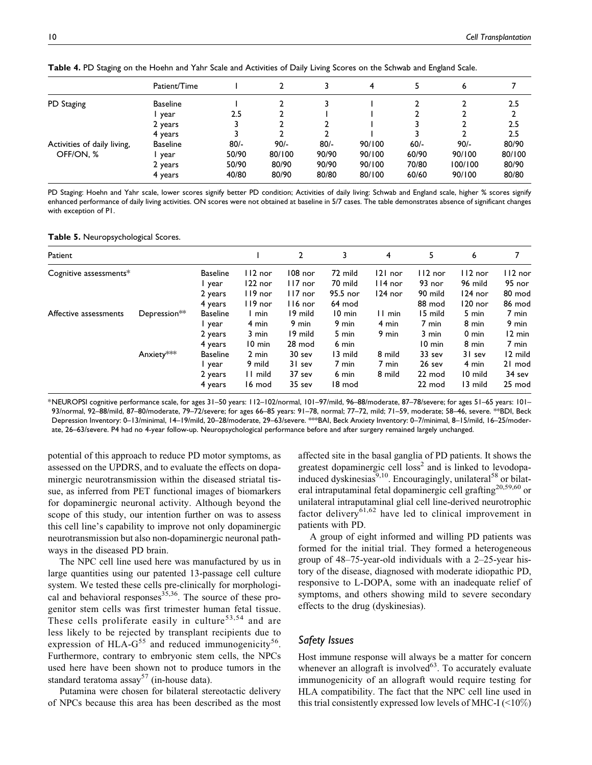|                             | Patient/Time    |        |        |        | 4      |        | 6       |        |
|-----------------------------|-----------------|--------|--------|--------|--------|--------|---------|--------|
| PD Staging                  | <b>Baseline</b> |        |        |        |        |        |         | 2.5    |
|                             | year            | 2.5    |        |        |        |        |         |        |
|                             | 2 years         |        |        |        |        |        |         | 2.5    |
|                             | 4 years         |        | 2      |        |        |        |         | 2.5    |
| Activities of daily living, | <b>Baseline</b> | $80/-$ | $90/-$ | $80/-$ | 90/100 | $60/-$ | $90/-$  | 80/90  |
| OFF/ON, %                   | year            | 50/90  | 80/100 | 90/90  | 90/100 | 60/90  | 90/100  | 80/100 |
|                             | 2 years         | 50/90  | 80/90  | 90/90  | 90/100 | 70/80  | 100/100 | 80/90  |
|                             | 4 years         | 40/80  | 80/90  | 80/80  | 80/100 | 60/60  | 90/100  | 80/80  |

Table 4. PD Staging on the Hoehn and Yahr Scale and Activities of Daily Living Scores on the Schwab and England Scale.

PD Staging: Hoehn and Yahr scale, lower scores signify better PD condition; Activities of daily living: Schwab and England scale, higher % scores signify enhanced performance of daily living activities. ON scores were not obtained at baseline in 5/7 cases. The table demonstrates absence of significant changes with exception of P1.

|  |  | Table 5. Neuropsychological Scores. |  |
|--|--|-------------------------------------|--|
|--|--|-------------------------------------|--|

| Patient                |              |                 |                  | $\overline{2}$ | 3                | 4         | 5         | 6         |                  |
|------------------------|--------------|-----------------|------------------|----------------|------------------|-----------|-----------|-----------|------------------|
| Cognitive assessments* |              | <b>Baseline</b> | $112$ nor        | $108$ nor      | 72 mild          | $ 2 $ nor | $112$ nor | $112$ nor | 112 nor          |
|                        |              | year            | $122$ nor        | $117$ nor      | 70 mild          | $114$ nor | 93 nor    | 96 mild   | 95 nor           |
|                        |              | 2 years         | $119$ nor        | $117$ nor      | 95.5 nor         | $124$ nor | 90 mild   | $124$ nor | 80 mod           |
|                        |              | 4 years         | $119$ nor        | 116 nor        | 64 mod           |           | 88 mod    | $120$ nor | 86 mod           |
| Affective assessments  | Depression** | <b>Baseline</b> | l min            | 19 mild        | $10 \text{ min}$ | II min    | 15 mild   | 5 min     | 7 min            |
|                        |              | year            | 4 min            | 9 min          | 9 min            | 4 min     | 7 min     | 8 min     | 9 min            |
|                        |              | 2 years         | 3 min            | 19 mild        | 5 min            | 9 min     | 3 min     | 0 min     | $12 \text{ min}$ |
|                        |              | 4 years         | $10 \text{ min}$ | 28 mod         | 6 min            |           | 10 min    | 8 min     | 7 min            |
|                        | Anxiety***   | <b>Baseline</b> | 2 min            | 30 sev         | 13 mild          | 8 mild    | 33 sev    | 31 sev    | 12 mild          |
|                        |              | l year          | 9 mild           | 31 sev         | 7 min            | 7 min     | 26 sev    | 4 min     | 21 mod           |
|                        |              | 2 years         | 11 mild          | 37 sev         | 6 min            | 8 mild    | 22 mod    | 10 mild   | 34 sev           |
|                        |              | 4 years         | 16 mod           | 35 sev         | 18 mod           |           | 22 mod    | 13 mild   | 25 mod           |

\*NEUROPSI cognitive performance scale, for ages 31–50 years: 112–102/normal, 101–97/mild, 96–88/moderate, 87–78/severe; for ages 51–65 years: 101– 93/normal, 92–88/mild, 87–80/moderate, 79–72/severe; for ages 66–85 years: 91–78, normal; 77–72, mild; 71–59, moderate; 58–46, severe. \*\*BDI, Beck Depression Inventory: 0–13/minimal, 14–19/mild, 20–28/moderate, 29–63/severe. \*\*\*BAI, Beck Anxiety Inventory: 0–7/minimal, 8–15/mild, 16–25/moderate, 26–63/severe. P4 had no 4-year follow-up. Neuropsychological performance before and after surgery remained largely unchanged.

potential of this approach to reduce PD motor symptoms, as assessed on the UPDRS, and to evaluate the effects on dopaminergic neurotransmission within the diseased striatal tissue, as inferred from PET functional images of biomarkers for dopaminergic neuronal activity. Although beyond the scope of this study, our intention further on was to assess this cell line's capability to improve not only dopaminergic neurotransmission but also non-dopaminergic neuronal pathways in the diseased PD brain.

The NPC cell line used here was manufactured by us in large quantities using our patented 13-passage cell culture system. We tested these cells pre-clinically for morphological and behavioral responses $35,36$ . The source of these progenitor stem cells was first trimester human fetal tissue. These cells proliferate easily in culture<sup>53,54</sup> and are less likely to be rejected by transplant recipients due to expression of HLA- $G^{55}$  and reduced immunogenicity<sup>56</sup>. Furthermore, contrary to embryonic stem cells, the NPCs used here have been shown not to produce tumors in the standard teratoma  $assay^{57}$  (in-house data).

Putamina were chosen for bilateral stereotactic delivery of NPCs because this area has been described as the most affected site in the basal ganglia of PD patients. It shows the greatest dopaminergic cell loss<sup>2</sup> and is linked to levodopainduced dyskinesias<sup>9,10</sup>. Encouragingly, unilateral<sup>58</sup> or bilateral intraputaminal fetal dopaminergic cell grafting<sup>20,59,60</sup> or unilateral intraputaminal glial cell line-derived neurotrophic factor delivery<sup>61,62</sup> have led to clinical improvement in patients with PD.

A group of eight informed and willing PD patients was formed for the initial trial. They formed a heterogeneous group of 48–75-year-old individuals with a 2–25-year history of the disease, diagnosed with moderate idiopathic PD, responsive to L-DOPA, some with an inadequate relief of symptoms, and others showing mild to severe secondary effects to the drug (dyskinesias).

## Safety Issues

Host immune response will always be a matter for concern whenever an allograft is involved $63$ . To accurately evaluate immunogenicity of an allograft would require testing for HLA compatibility. The fact that the NPC cell line used in this trial consistently expressed low levels of MHC-I  $(\leq 10\%)$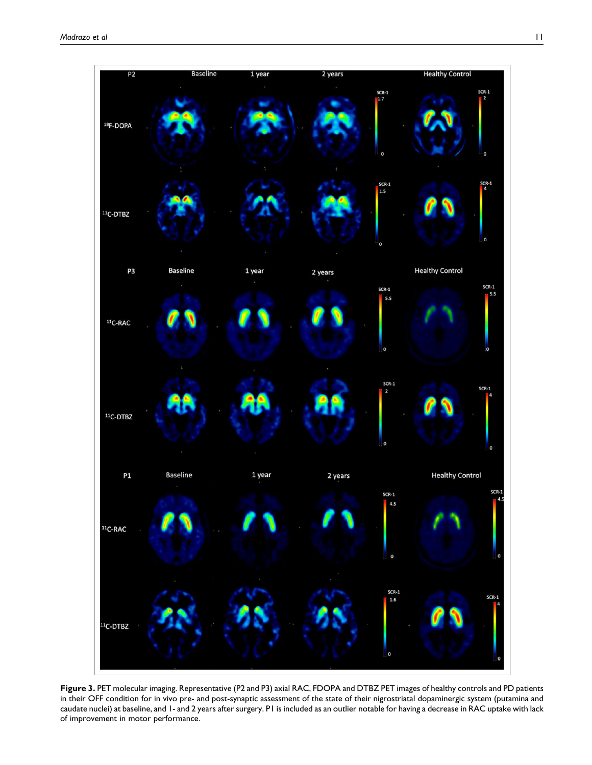

Figure 3. PET molecular imaging. Representative (P2 and P3) axial RAC, FDOPA and DTBZ PET images of healthy controls and PD patients in their OFF condition for in vivo pre- and post-synaptic assessment of the state of their nigrostriatal dopaminergic system (putamina and caudate nuclei) at baseline, and 1- and 2 years after surgery. P1 is included as an outlier notable for having a decrease in RAC uptake with lack of improvement in motor performance.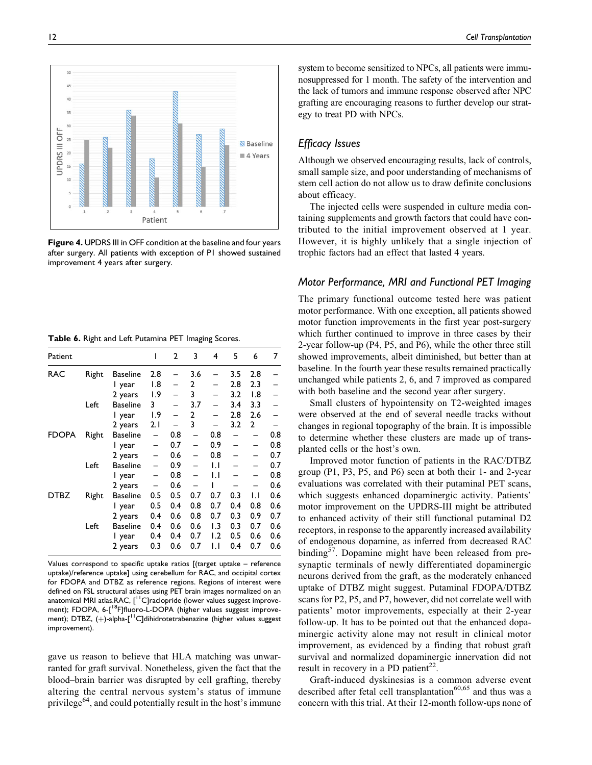system to become sensitized to NPCs, all patients were immunosuppressed for 1 month. The safety of the intervention and the lack of tumors and immune response observed after NPC grafting are encouraging reasons to further develop our strategy to treat PD with NPCs.

## Efficacy Issues

Although we observed encouraging results, lack of controls, small sample size, and poor understanding of mechanisms of stem cell action do not allow us to draw definite conclusions about efficacy.

The injected cells were suspended in culture media containing supplements and growth factors that could have contributed to the initial improvement observed at 1 year. However, it is highly unlikely that a single injection of trophic factors had an effect that lasted 4 years.

## Motor Performance, MRI and Functional PET Imaging

The primary functional outcome tested here was patient motor performance. With one exception, all patients showed motor function improvements in the first year post-surgery which further continued to improve in three cases by their 2-year follow-up (P4, P5, and P6), while the other three still showed improvements, albeit diminished, but better than at baseline. In the fourth year these results remained practically unchanged while patients 2, 6, and 7 improved as compared with both baseline and the second year after surgery.

Small clusters of hypointensity on T2-weighted images were observed at the end of several needle tracks without changes in regional topography of the brain. It is impossible to determine whether these clusters are made up of transplanted cells or the host's own.

Improved motor function of patients in the RAC/DTBZ group (P1, P3, P5, and P6) seen at both their 1- and 2-year evaluations was correlated with their putaminal PET scans, which suggests enhanced dopaminergic activity. Patients' motor improvement on the UPDRS-III might be attributed to enhanced activity of their still functional putaminal D2 receptors, in response to the apparently increased availability of endogenous dopamine, as inferred from decreased RAC binding $5^{\prime}$ . Dopamine might have been released from presynaptic terminals of newly differentiated dopaminergic neurons derived from the graft, as the moderately enhanced uptake of DTBZ might suggest. Putaminal FDOPA/DTBZ scans for P2, P5, and P7, however, did not correlate well with patients' motor improvements, especially at their 2-year follow-up. It has to be pointed out that the enhanced dopaminergic activity alone may not result in clinical motor improvement, as evidenced by a finding that robust graft survival and normalized dopaminergic innervation did not result in recovery in a PD patient<sup>22</sup>.

Graft-induced dyskinesias is a common adverse event described after fetal cell transplantation $60,65$  and thus was a concern with this trial. At their 12-month follow-ups none of

Table 6. Right and Left Putamina PET Imaging Scores.

improvement 4 years after surgery.

| Values correspond to specific uptake ratios $\int (t) \, dt$ (target uptake – reference |
|-----------------------------------------------------------------------------------------|
| uptake)/reference uptake] using cerebellum for RAC, and occipital cortex                |
| for FDOPA and DTBZ as reference regions. Regions of interest were                       |
| defined on FSL structural atlases using PET brain images normalized on an               |
| anatomical MRI atlas.RAC, [ <sup>11</sup> C]raclopride (lower values suggest improve-   |
| ment); FDOPA, 6-[ <sup>18</sup> F]fluoro-L-DOPA (higher values suggest improve-         |
| ment); DTBZ, $(+)$ -alpha- $I11C$ ]dihidrotetrabenazine (higher values suggest          |
| improvement).                                                                           |

gave us reason to believe that HLA matching was unwarranted for graft survival. Nonetheless, given the fact that the blood–brain barrier was disrupted by cell grafting, thereby altering the central nervous system's status of immune privilege<sup>64</sup>, and could potentially result in the host's immune



after surgery. All patients with exception of P1 showed sustained

Patient 1 2 3 4 5 6 7

FDOPA Right Baseline –  $0.8 - 0.8 - 0.8$ <br>1 vear –  $0.7 - 0.9 - 0.8$ 1 year – 0.7 – 0.9 –<br>2 years – 0.6 – 0.8 –

DTBZ Right Baseline 0.5 0.5 0.7 0.7 0.3 1.1 0.6 1 year 0.5 0.4 0.8 0.7 0.4<br>2 years 0.4 0.6 0.8 0.7 0.3

 $1 \text{ year}$   $1.8$  – 2 – 2.8 2.3 2 years 1.9 – 3 – 3.2 1.8 – Left Baseline 3 – 3.7 – 3.4 3.3 – 1 year 1.9 – 2 – 2.8 2.6 – 2 years 2.1 – 3 – 3.2 2 –<br>Baseline – 0.8 – 0.8 – – 0.8

 $2 \text{ years } -0.6 - 0.8 - - 0.7$ <br>Baseline – 0.9 – 1.1 – – 0.7 Left Baseline – 0.9 – 1.1 – – 0.7  $1 \text{ year } -0.8 - 1.1 - -0.8$ <br> $2 \text{ years } -0.6 - 1 - - 0.6$ 2 years – 0.6 – 1 – –<br>Baseline 0.5 0.5 0.7 0.7 0.3 l.

2 years 0.4 0.6 0.8 0.7 0.3 0.9 0.7 Left Baseline 0.4 0.6 0.6 1.3 0.3 0.7 0.6 1 year 0.4 0.4 0.7 1.2 0.5 0.6 2 years 0.3 0.6 0.7 1.1 0.4 0.7 0.6

RAC Right Baseline 2.8 – 3.6 – 3.5 2.8 –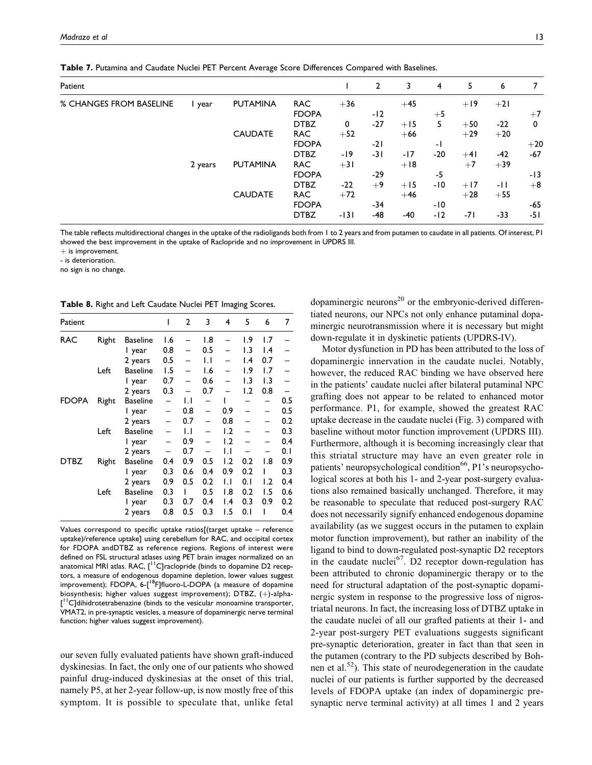Table 7. Putamina and Caudate Nuclei PET Percent Average Score Differences Compared with Baselines.

| Patient                 |         |                 |              |        | $\mathbf{2}$ | 3     | 4     | 5     | 6     | 7     |
|-------------------------|---------|-----------------|--------------|--------|--------------|-------|-------|-------|-------|-------|
| % CHANGES FROM BASELINE | l year  | <b>PUTAMINA</b> | <b>RAC</b>   | $+36$  |              | $+45$ |       | $+19$ | $+21$ |       |
|                         |         |                 | <b>FDOPA</b> |        | $-12$        |       | $+5$  |       |       | $+7$  |
|                         |         |                 | <b>DTBZ</b>  | 0      | $-27$        | $+15$ | 5.    | $+50$ | $-22$ | 0     |
|                         |         | <b>CAUDATE</b>  | <b>RAC</b>   | $+52$  |              | $+66$ |       | $+29$ | $+20$ |       |
|                         |         |                 | <b>FDOPA</b> |        | $-21$        |       | - 1   |       |       | $+20$ |
|                         |         |                 | <b>DTBZ</b>  | -19    | $-31$        | -17   | $-20$ | $+41$ | $-42$ | $-67$ |
|                         | 2 years | <b>PUTAMINA</b> | <b>RAC</b>   | $+31$  |              | $+18$ |       | $+7$  | $+39$ |       |
|                         |         |                 | <b>FDOPA</b> |        | $-29$        |       | -5    |       |       | $-13$ |
|                         |         |                 | <b>DTBZ</b>  | $-22$  | $+9$         | $+15$ | -10   | $+17$ | -11   | $+8$  |
|                         |         | <b>CAUDATE</b>  | <b>RAC</b>   | $+72$  |              | $+46$ |       | $+28$ | $+55$ |       |
|                         |         |                 | <b>FDOPA</b> |        | -34          |       | -10   |       |       | $-65$ |
|                         |         |                 | <b>DTBZ</b>  | $-131$ | -48          | -40   | $-12$ | -71   | $-33$ | -51   |

The table reflects multidirectional changes in the uptake of the radioligands both from 1 to 2 years and from putamen to caudate in all patients. Of interest, P1 showed the best improvement in the uptake of Raclopride and no improvement in UPDRS III.

 $+$  is improvement.

- is deterioration.

no sign is no change.

Table 8. Right and Left Caudate Nuclei PET Imaging Scores.

| Patient |       |                 | ı   | $\overline{2}$ | 3            | 4               | 5                | 6                | 7    |
|---------|-------|-----------------|-----|----------------|--------------|-----------------|------------------|------------------|------|
| RAC     | Right | <b>Baseline</b> | 1.6 |                | 1.8          |                 | ۱.9              | ۱.7              |      |
|         |       | I year          | 0.8 |                | 0.5          |                 | $\overline{1.3}$ | $\mathsf{I}$ .4  |      |
|         |       | 2 years         | 0.5 |                | $\mathsf{L}$ |                 | $\mathsf{I}$ .4  | 0.7              |      |
|         | Left  | <b>Baseline</b> | 1.5 |                | 1.6          |                 | ۱.9              | 1.7              |      |
|         |       | l year          | 0.7 |                | 0.6          |                 | 1.3              | $\overline{1.3}$ |      |
|         |       | 2 years         | 0.3 |                | 0.7          |                 | 1.2              | 0.8              |      |
| FDOPA   | Right | <b>Baseline</b> | -   | IJ             | -            |                 |                  |                  | 0.5  |
|         |       | l year          |     | 0.8            |              | 0.9             |                  |                  | 0.5  |
|         |       | 2 years         |     | 0.7            |              | 0.8             |                  |                  | 0.2  |
|         | Left  | <b>Baseline</b> |     | IJ             |              | 1.2             |                  |                  | 0.3  |
|         |       | l year          |     | 0.9            |              | 1.2             |                  |                  | 0.4  |
|         |       | 2 years         |     | 0.7            |              | IJ              |                  |                  | 0. I |
| DTBZ    | Right | <b>Baseline</b> | 0.4 | 0.9            | 0.5          | 1.2             | 0.2              | 1.8              | 0.9  |
|         |       | l year          | 0.3 | 0.6            | 0.4          | 0.9             | 0.2              |                  | 0.3  |
|         |       | 2 years         | 0.9 | 0.5            | 0.2          | $\mathsf{L}$    | 0.1              | 1.2              | 0.4  |
|         | Left  | <b>Baseline</b> | 0.3 |                | 0.5          | 1.8             | 0.2              | 1.5              | 0.6  |
|         |       | I year          | 0.3 | 0.7            | 0.4          | $\mathsf{I}$ .4 | 0.3              | 0.9              | 0.2  |
|         |       | 2 years         | 0.8 | 0.5            | 0.3          | ۱.5             | 0.1              |                  | 0.4  |

Values correspond to specific uptake ratios[(target uptake – reference uptake)/reference uptake] using cerebellum for RAC, and occipital cortex for FDOPA andDTBZ as reference regions. Regions of interest were defined on FSL structural atlases using PET brain images normalized on an anatomical MRI atlas. RAC,  $[$ <sup>1</sup>C] raclopride (binds to dopamine D2 receptors, a measure of endogenous dopamine depletion, lower values suggest improvement); FDOPA, 6-[<sup>18</sup>F]fluoro-L-DOPA (a measure of dopamine biosynthesis; higher values suggest improvement);  $DTBZ$ ,  $(+)$ -alpha-[<sup>11</sup>C]dihidrotetrabenazine (binds to the vesicular monoamine transporter, VMAT2, in pre-synaptic vesicles, a measure of dopaminergic nerve terminal function; higher values suggest improvement).

our seven fully evaluated patients have shown graft-induced dyskinesias. In fact, the only one of our patients who showed painful drug-induced dyskinesias at the onset of this trial, namely P5, at her 2-year follow-up, is now mostly free of this symptom. It is possible to speculate that, unlike fetal

dopaminergic neurons $^{20}$  or the embryonic-derived differentiated neurons, our NPCs not only enhance putaminal dopaminergic neurotransmission where it is necessary but might down-regulate it in dyskinetic patients (UPDRS-IV).

Motor dysfunction in PD has been attributed to the loss of dopaminergic innervation in the caudate nuclei. Notably, however, the reduced RAC binding we have observed here in the patients' caudate nuclei after bilateral putaminal NPC grafting does not appear to be related to enhanced motor performance. P1, for example, showed the greatest RAC uptake decrease in the caudate nuclei (Fig. 3) compared with baseline without motor function improvement (UPDRS III). Furthermore, although it is becoming increasingly clear that this striatal structure may have an even greater role in patients' neuropsychological condition<sup>66</sup>, P1's neuropsychological scores at both his 1- and 2-year post-surgery evaluations also remained basically unchanged. Therefore, it may be reasonable to speculate that reduced post-surgery RAC does not necessarily signify enhanced endogenous dopamine availability (as we suggest occurs in the putamen to explain motor function improvement), but rather an inability of the ligand to bind to down-regulated post-synaptic D2 receptors in the caudate nuclei<sup>67</sup>. D2 receptor down-regulation has been attributed to chronic dopaminergic therapy or to the need for structural adaptation of the post-synaptic dopaminergic system in response to the progressive loss of nigrostriatal neurons. In fact, the increasing loss of DTBZ uptake in the caudate nuclei of all our grafted patients at their 1- and 2-year post-surgery PET evaluations suggests significant pre-synaptic deterioration, greater in fact than that seen in the putamen (contrary to the PD subjects described by Bohnen et al. $52$ ). This state of neurodegeneration in the caudate nuclei of our patients is further supported by the decreased levels of FDOPA uptake (an index of dopaminergic presynaptic nerve terminal activity) at all times 1 and 2 years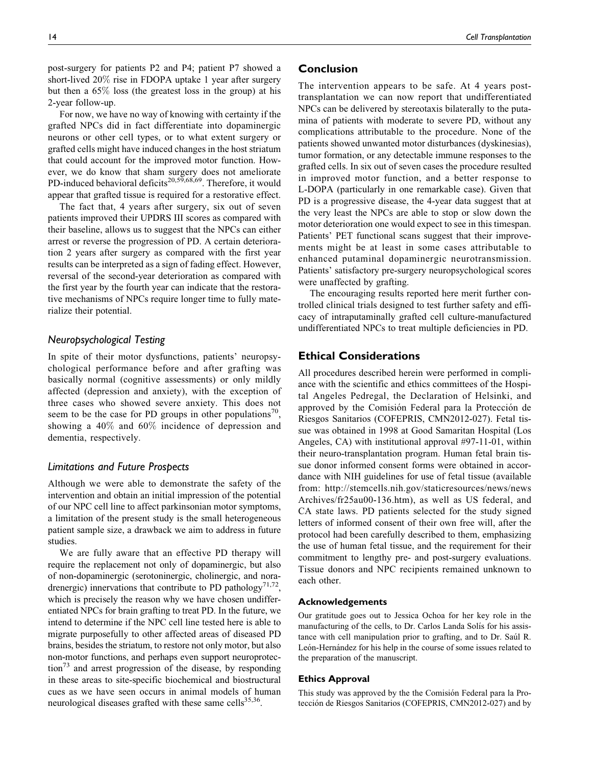post-surgery for patients P2 and P4; patient P7 showed a short-lived 20% rise in FDOPA uptake 1 year after surgery but then a 65% loss (the greatest loss in the group) at his 2-year follow-up.

For now, we have no way of knowing with certainty if the grafted NPCs did in fact differentiate into dopaminergic neurons or other cell types, or to what extent surgery or grafted cells might have induced changes in the host striatum that could account for the improved motor function. However, we do know that sham surgery does not ameliorate PD-induced behavioral deficits<sup>20,59,68,69</sup>. Therefore, it would appear that grafted tissue is required for a restorative effect.

The fact that, 4 years after surgery, six out of seven patients improved their UPDRS III scores as compared with their baseline, allows us to suggest that the NPCs can either arrest or reverse the progression of PD. A certain deterioration 2 years after surgery as compared with the first year results can be interpreted as a sign of fading effect. However, reversal of the second-year deterioration as compared with the first year by the fourth year can indicate that the restorative mechanisms of NPCs require longer time to fully materialize their potential.

## Neuropsychological Testing

In spite of their motor dysfunctions, patients' neuropsychological performance before and after grafting was basically normal (cognitive assessments) or only mildly affected (depression and anxiety), with the exception of three cases who showed severe anxiety. This does not seem to be the case for PD groups in other populations<sup>70</sup>, showing a 40% and 60% incidence of depression and dementia, respectively.

## Limitations and Future Prospects

Although we were able to demonstrate the safety of the intervention and obtain an initial impression of the potential of our NPC cell line to affect parkinsonian motor symptoms, a limitation of the present study is the small heterogeneous patient sample size, a drawback we aim to address in future studies.

We are fully aware that an effective PD therapy will require the replacement not only of dopaminergic, but also of non-dopaminergic (serotoninergic, cholinergic, and noradrenergic) innervations that contribute to PD pathology<sup>71,72</sup>, which is precisely the reason why we have chosen undifferentiated NPCs for brain grafting to treat PD. In the future, we intend to determine if the NPC cell line tested here is able to migrate purposefully to other affected areas of diseased PD brains, besides the striatum, to restore not only motor, but also non-motor functions, and perhaps even support neuroprotec- $\int^{\pi}$  and arrest progression of the disease, by responding in these areas to site-specific biochemical and biostructural cues as we have seen occurs in animal models of human neurological diseases grafted with these same cells $35,36$ .

## Conclusion

The intervention appears to be safe. At 4 years posttransplantation we can now report that undifferentiated NPCs can be delivered by stereotaxis bilaterally to the putamina of patients with moderate to severe PD, without any complications attributable to the procedure. None of the patients showed unwanted motor disturbances (dyskinesias), tumor formation, or any detectable immune responses to the grafted cells. In six out of seven cases the procedure resulted in improved motor function, and a better response to L-DOPA (particularly in one remarkable case). Given that PD is a progressive disease, the 4-year data suggest that at the very least the NPCs are able to stop or slow down the motor deterioration one would expect to see in this timespan. Patients' PET functional scans suggest that their improvements might be at least in some cases attributable to enhanced putaminal dopaminergic neurotransmission. Patients' satisfactory pre-surgery neuropsychological scores were unaffected by grafting.

The encouraging results reported here merit further controlled clinical trials designed to test further safety and efficacy of intraputaminally grafted cell culture-manufactured undifferentiated NPCs to treat multiple deficiencies in PD.

## Ethical Considerations

All procedures described herein were performed in compliance with the scientific and ethics committees of the Hospital Angeles Pedregal, the Declaration of Helsinki, and approved by the Comisión Federal para la Protección de Riesgos Sanitarios (COFEPRIS, CMN2012-027). Fetal tissue was obtained in 1998 at Good Samaritan Hospital (Los Angeles, CA) with institutional approval #97-11-01, within their neuro-transplantation program. Human fetal brain tissue donor informed consent forms were obtained in accordance with NIH guidelines for use of fetal tissue (available from: [http://stemcells.nih.gov/staticresources/news/news](http://stemcells.nih.gov/staticresources/news/newsArchives/fr25au00-136.htm) [Archives/fr25au00-136.htm\)](http://stemcells.nih.gov/staticresources/news/newsArchives/fr25au00-136.htm), as well as US federal, and CA state laws. PD patients selected for the study signed letters of informed consent of their own free will, after the protocol had been carefully described to them, emphasizing the use of human fetal tissue, and the requirement for their commitment to lengthy pre- and post-surgery evaluations. Tissue donors and NPC recipients remained unknown to each other.

#### Acknowledgements

Our gratitude goes out to Jessica Ochoa for her key role in the manufacturing of the cells, to Dr. Carlos Landa Solís for his assistance with cell manipulation prior to grafting, and to Dr. Saúl R. León-Hernández for his help in the course of some issues related to the preparation of the manuscript.

#### Ethics Approval

This study was approved by the the Comisión Federal para la Protección de Riesgos Sanitarios (COFEPRIS, CMN2012-027) and by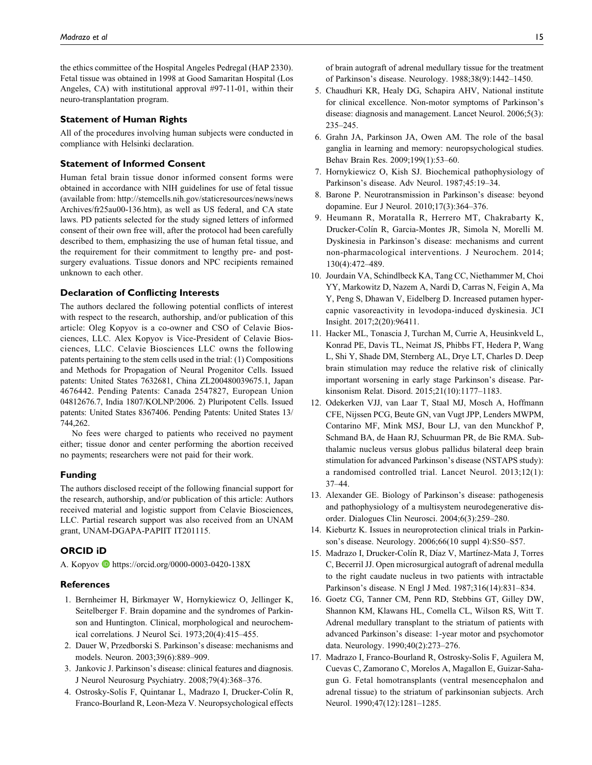the ethics committee of the Hospital Angeles Pedregal (HAP 2330). Fetal tissue was obtained in 1998 at Good Samaritan Hospital (Los Angeles, CA) with institutional approval #97-11-01, within their neuro-transplantation program.

#### Statement of Human Rights

All of the procedures involving human subjects were conducted in compliance with Helsinki declaration.

## Statement of Informed Consent

Human fetal brain tissue donor informed consent forms were obtained in accordance with NIH guidelines for use of fetal tissue (available from: [http://stemcells.nih.gov/staticresources/news/news](http://stemcells.nih.gov/staticresources/news/newsArchives/fr25au00-136.htm) [Archives/fr25au00-136.htm](http://stemcells.nih.gov/staticresources/news/newsArchives/fr25au00-136.htm)), as well as US federal, and CA state laws. PD patients selected for the study signed letters of informed consent of their own free will, after the protocol had been carefully described to them, emphasizing the use of human fetal tissue, and the requirement for their commitment to lengthy pre- and postsurgery evaluations. Tissue donors and NPC recipients remained unknown to each other.

## Declaration of Conflicting Interests

The authors declared the following potential conflicts of interest with respect to the research, authorship, and/or publication of this article: Oleg Kopyov is a co-owner and CSO of Celavie Biosciences, LLC. Alex Kopyov is Vice-President of Celavie Biosciences, LLC. Celavie Biosciences LLC owns the following patents pertaining to the stem cells used in the trial: (1) Compositions and Methods for Propagation of Neural Progenitor Cells. Issued patents: United States 7632681, China ZL200480039675.1, Japan 4676442. Pending Patents: Canada 2547827, European Union 04812676.7, India 1807/KOLNP/2006. 2) Pluripotent Cells. Issued patents: United States 8367406. Pending Patents: United States 13/ 744,262.

No fees were charged to patients who received no payment either; tissue donor and center performing the abortion received no payments; researchers were not paid for their work.

### Funding

The authors disclosed receipt of the following financial support for the research, authorship, and/or publication of this article: Authors received material and logistic support from Celavie Biosciences, LLC. Partial research support was also received from an UNAM grant, UNAM-DGAPA-PAPIIT IT201115.

## ORCID iD

A. Kopyov D <https://orcid.org/0000-0003-0420-138X>

#### References

- 1. Bernheimer H, Birkmayer W, Hornykiewicz O, Jellinger K, Seitelberger F. Brain dopamine and the syndromes of Parkinson and Huntington. Clinical, morphological and neurochemical correlations. J Neurol Sci. 1973;20(4):415–455.
- 2. Dauer W, Przedborski S. Parkinson's disease: mechanisms and models. Neuron. 2003;39(6):889–909.
- 3. Jankovic J. Parkinson's disease: clinical features and diagnosis. J Neurol Neurosurg Psychiatry. 2008;79(4):368–376.
- 4. Ostrosky-Solís F, Quintanar L, Madrazo I, Drucker-Colín R, Franco-Bourland R, Leon-Meza V. Neuropsychological effects

of brain autograft of adrenal medullary tissue for the treatment of Parkinson's disease. Neurology. 1988;38(9):1442–1450.

- 5. Chaudhuri KR, Healy DG, Schapira AHV, National institute for clinical excellence. Non-motor symptoms of Parkinson's disease: diagnosis and management. Lancet Neurol. 2006;5(3): 235–245.
- 6. Grahn JA, Parkinson JA, Owen AM. The role of the basal ganglia in learning and memory: neuropsychological studies. Behav Brain Res. 2009;199(1):53–60.
- 7. Hornykiewicz O, Kish SJ. Biochemical pathophysiology of Parkinson's disease. Adv Neurol. 1987;45:19–34.
- 8. Barone P. Neurotransmission in Parkinson's disease: beyond dopamine. Eur J Neurol. 2010;17(3):364–376.
- 9. Heumann R, Moratalla R, Herrero MT, Chakrabarty K, Drucker-Colín R, Garcia-Montes JR, Simola N, Morelli M. Dyskinesia in Parkinson's disease: mechanisms and current non-pharmacological interventions. J Neurochem. 2014; 130(4):472–489.
- 10. Jourdain VA, Schindlbeck KA, Tang CC, Niethammer M, Choi YY, Markowitz D, Nazem A, Nardi D, Carras N, Feigin A, Ma Y, Peng S, Dhawan V, Eidelberg D. Increased putamen hypercapnic vasoreactivity in levodopa-induced dyskinesia. JCI Insight. 2017;2(20):96411.
- 11. Hacker ML, Tonascia J, Turchan M, Currie A, Heusinkveld L, Konrad PE, Davis TL, Neimat JS, Phibbs FT, Hedera P, Wang L, Shi Y, Shade DM, Sternberg AL, Drye LT, Charles D. Deep brain stimulation may reduce the relative risk of clinically important worsening in early stage Parkinson's disease. Parkinsonism Relat. Disord. 2015;21(10):1177–1183.
- 12. Odekerken VJJ, van Laar T, Staal MJ, Mosch A, Hoffmann CFE, Nijssen PCG, Beute GN, van Vugt JPP, Lenders MWPM, Contarino MF, Mink MSJ, Bour LJ, van den Munckhof P, Schmand BA, de Haan RJ, Schuurman PR, de Bie RMA. Subthalamic nucleus versus globus pallidus bilateral deep brain stimulation for advanced Parkinson's disease (NSTAPS study): a randomised controlled trial. Lancet Neurol. 2013;12(1): 37–44.
- 13. Alexander GE. Biology of Parkinson's disease: pathogenesis and pathophysiology of a multisystem neurodegenerative disorder. Dialogues Clin Neurosci. 2004;6(3):259–280.
- 14. Kieburtz K. Issues in neuroprotection clinical trials in Parkinson's disease. Neurology. 2006;66(10 suppl 4):S50–S57.
- 15. Madrazo I, Drucker-Colín R, Díaz V, Martínez-Mata J, Torres C, Becerril JJ. Open microsurgical autograft of adrenal medulla to the right caudate nucleus in two patients with intractable Parkinson's disease. N Engl J Med. 1987;316(14):831–834.
- 16. Goetz CG, Tanner CM, Penn RD, Stebbins GT, Gilley DW, Shannon KM, Klawans HL, Comella CL, Wilson RS, Witt T. Adrenal medullary transplant to the striatum of patients with advanced Parkinson's disease: 1-year motor and psychomotor data. Neurology. 1990;40(2):273–276.
- 17. Madrazo I, Franco-Bourland R, Ostrosky-Solis F, Aguilera M, Cuevas C, Zamorano C, Morelos A, Magallon E, Guizar-Sahagun G. Fetal homotransplants (ventral mesencephalon and adrenal tissue) to the striatum of parkinsonian subjects. Arch Neurol. 1990;47(12):1281–1285.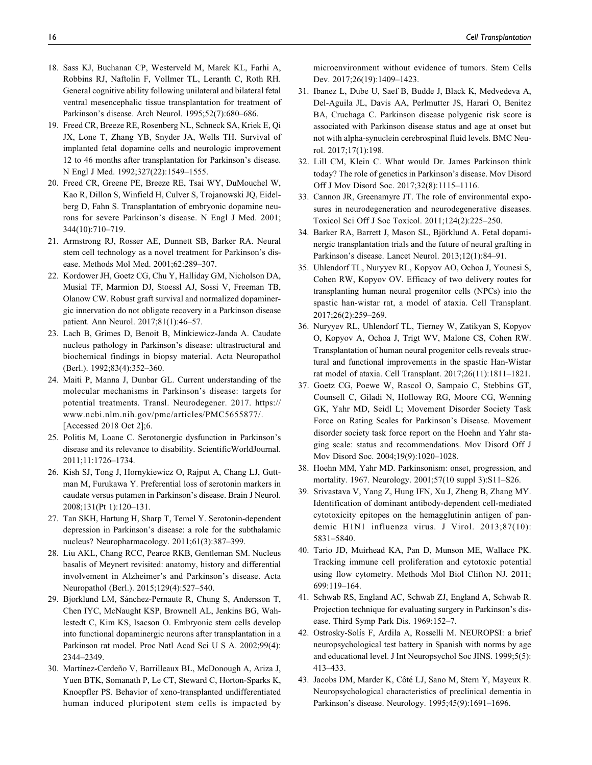- 18. Sass KJ, Buchanan CP, Westerveld M, Marek KL, Farhi A, Robbins RJ, Naftolin F, Vollmer TL, Leranth C, Roth RH. General cognitive ability following unilateral and bilateral fetal ventral mesencephalic tissue transplantation for treatment of Parkinson's disease. Arch Neurol. 1995;52(7):680–686.
- 19. Freed CR, Breeze RE, Rosenberg NL, Schneck SA, Kriek E, Qi JX, Lone T, Zhang YB, Snyder JA, Wells TH. Survival of implanted fetal dopamine cells and neurologic improvement 12 to 46 months after transplantation for Parkinson's disease. N Engl J Med. 1992;327(22):1549–1555.
- 20. Freed CR, Greene PE, Breeze RE, Tsai WY, DuMouchel W, Kao R, Dillon S, Winfield H, Culver S, Trojanowski JQ, Eidelberg D, Fahn S. Transplantation of embryonic dopamine neurons for severe Parkinson's disease. N Engl J Med. 2001; 344(10):710–719.
- 21. Armstrong RJ, Rosser AE, Dunnett SB, Barker RA. Neural stem cell technology as a novel treatment for Parkinson's disease. Methods Mol Med. 2001;62:289–307.
- 22. Kordower JH, Goetz CG, Chu Y, Halliday GM, Nicholson DA, Musial TF, Marmion DJ, Stoessl AJ, Sossi V, Freeman TB, Olanow CW. Robust graft survival and normalized dopaminergic innervation do not obligate recovery in a Parkinson disease patient. Ann Neurol. 2017;81(1):46–57.
- 23. Lach B, Grimes D, Benoit B, Minkiewicz-Janda A. Caudate nucleus pathology in Parkinson's disease: ultrastructural and biochemical findings in biopsy material. Acta Neuropathol (Berl.). 1992;83(4):352–360.
- 24. Maiti P, Manna J, Dunbar GL. Current understanding of the molecular mechanisms in Parkinson's disease: targets for potential treatments. Transl. Neurodegener. 2017. [https://](https://www.ncbi.nlm.nih.gov/pmc/articles/PMC5655877/) [www.ncbi.nlm.nih.gov/pmc/articles/PMC5655877/](https://www.ncbi.nlm.nih.gov/pmc/articles/PMC5655877/). [Accessed 2018 Oct 2];6.
- 25. Politis M, Loane C. Serotonergic dysfunction in Parkinson's disease and its relevance to disability. ScientificWorldJournal. 2011;11:1726–1734.
- 26. Kish SJ, Tong J, Hornykiewicz O, Rajput A, Chang LJ, Guttman M, Furukawa Y. Preferential loss of serotonin markers in caudate versus putamen in Parkinson's disease. Brain J Neurol. 2008;131(Pt 1):120–131.
- 27. Tan SKH, Hartung H, Sharp T, Temel Y. Serotonin-dependent depression in Parkinson's disease: a role for the subthalamic nucleus? Neuropharmacology. 2011;61(3):387–399.
- 28. Liu AKL, Chang RCC, Pearce RKB, Gentleman SM. Nucleus basalis of Meynert revisited: anatomy, history and differential involvement in Alzheimer's and Parkinson's disease. Acta Neuropathol (Berl.). 2015;129(4):527–540.
- 29. Bjorklund LM, Sánchez-Pernaute R, Chung S, Andersson T, Chen IYC, McNaught KSP, Brownell AL, Jenkins BG, Wahlestedt C, Kim KS, Isacson O. Embryonic stem cells develop into functional dopaminergic neurons after transplantation in a Parkinson rat model. Proc Natl Acad Sci U S A. 2002;99(4): 2344–2349.
- 30. Martínez-Cerdeño V, Barrilleaux BL, McDonough A, Ariza J, Yuen BTK, Somanath P, Le CT, Steward C, Horton-Sparks K, Knoepfler PS. Behavior of xeno-transplanted undifferentiated human induced pluripotent stem cells is impacted by

microenvironment without evidence of tumors. Stem Cells Dev. 2017;26(19):1409–1423.

- 31. Ibanez L, Dube U, Saef B, Budde J, Black K, Medvedeva A, Del-Aguila JL, Davis AA, Perlmutter JS, Harari O, Benitez BA, Cruchaga C. Parkinson disease polygenic risk score is associated with Parkinson disease status and age at onset but not with alpha-synuclein cerebrospinal fluid levels. BMC Neurol. 2017;17(1):198.
- 32. Lill CM, Klein C. What would Dr. James Parkinson think today? The role of genetics in Parkinson's disease. Mov Disord Off J Mov Disord Soc. 2017;32(8):1115–1116.
- 33. Cannon JR, Greenamyre JT. The role of environmental exposures in neurodegeneration and neurodegenerative diseases. Toxicol Sci Off J Soc Toxicol. 2011;124(2):225–250.
- 34. Barker RA, Barrett J, Mason SL, Björklund A. Fetal dopaminergic transplantation trials and the future of neural grafting in Parkinson's disease. Lancet Neurol. 2013;12(1):84–91.
- 35. Uhlendorf TL, Nuryyev RL, Kopyov AO, Ochoa J, Younesi S, Cohen RW, Kopyov OV. Efficacy of two delivery routes for transplanting human neural progenitor cells (NPCs) into the spastic han-wistar rat, a model of ataxia. Cell Transplant. 2017;26(2):259–269.
- 36. Nuryyev RL, Uhlendorf TL, Tierney W, Zatikyan S, Kopyov O, Kopyov A, Ochoa J, Trigt WV, Malone CS, Cohen RW. Transplantation of human neural progenitor cells reveals structural and functional improvements in the spastic Han-Wistar rat model of ataxia. Cell Transplant. 2017;26(11):1811–1821.
- 37. Goetz CG, Poewe W, Rascol O, Sampaio C, Stebbins GT, Counsell C, Giladi N, Holloway RG, Moore CG, Wenning GK, Yahr MD, Seidl L; Movement Disorder Society Task Force on Rating Scales for Parkinson's Disease. Movement disorder society task force report on the Hoehn and Yahr staging scale: status and recommendations. Mov Disord Off J Mov Disord Soc. 2004;19(9):1020–1028.
- 38. Hoehn MM, Yahr MD. Parkinsonism: onset, progression, and mortality. 1967. Neurology. 2001;57(10 suppl 3):S11–S26.
- 39. Srivastava V, Yang Z, Hung IFN, Xu J, Zheng B, Zhang MY. Identification of dominant antibody-dependent cell-mediated cytotoxicity epitopes on the hemagglutinin antigen of pandemic H1N1 influenza virus. J Virol. 2013;87(10): 5831–5840.
- 40. Tario JD, Muirhead KA, Pan D, Munson ME, Wallace PK. Tracking immune cell proliferation and cytotoxic potential using flow cytometry. Methods Mol Biol Clifton NJ. 2011; 699:119–164.
- 41. Schwab RS, England AC, Schwab ZJ, England A, Schwab R. Projection technique for evaluating surgery in Parkinson's disease. Third Symp Park Dis. 1969:152–7.
- 42. Ostrosky-Solís F, Ardila A, Rosselli M. NEUROPSI: a brief neuropsychological test battery in Spanish with norms by age and educational level. J Int Neuropsychol Soc JINS. 1999;5(5): 413–433.
- 43. Jacobs DM, Marder K, Côté LJ, Sano M, Stern Y, Mayeux R. Neuropsychological characteristics of preclinical dementia in Parkinson's disease. Neurology. 1995;45(9):1691–1696.